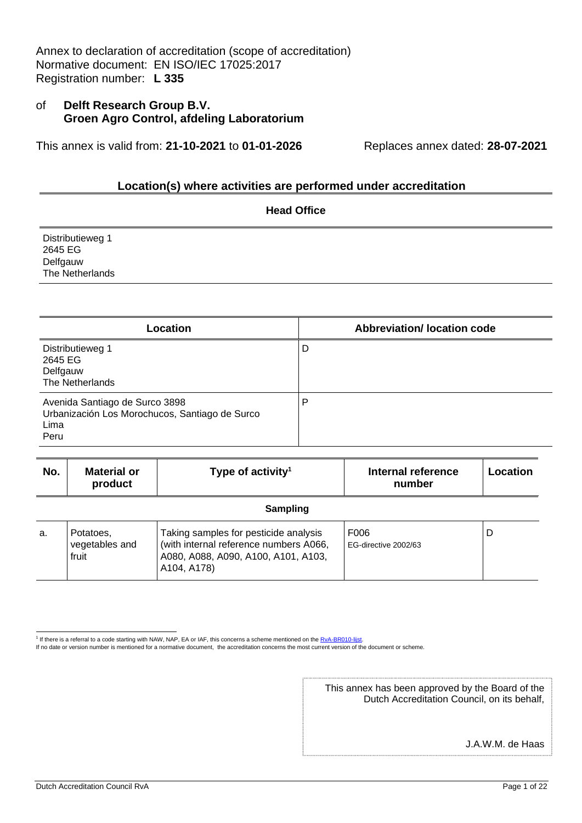#### of **Delft Research Group B.V. Groen Agro Control, afdeling Laboratorium**

This annex is valid from: **21-10-2021** to **01-01-2026** Replaces annex dated: **28-07-2021**

#### **Location(s) where activities are performed under accreditation**

|                                                            | <b>Head Office</b> |
|------------------------------------------------------------|--------------------|
| Distributieweg 1<br>2645 EG<br>Delfgauw<br>The Netherlands |                    |
|                                                            |                    |

| Location                                                                                         | <b>Abbreviation/Iocation code</b> |
|--------------------------------------------------------------------------------------------------|-----------------------------------|
| Distributieweg 1<br>2645 EG<br>Delfgauw<br>The Netherlands                                       | D                                 |
| Avenida Santiago de Surco 3898<br>Urbanización Los Morochucos, Santiago de Surco<br>Lima<br>Peru | P                                 |

| No. | <b>Material or</b><br>product        | Type of activity <sup>1</sup>                                                                                                         | <b>Internal reference</b><br>number | Location |
|-----|--------------------------------------|---------------------------------------------------------------------------------------------------------------------------------------|-------------------------------------|----------|
|     |                                      | <b>Sampling</b>                                                                                                                       |                                     |          |
| a.  | Potatoes,<br>vegetables and<br>fruit | Taking samples for pesticide analysis<br>(with internal reference numbers A066,<br>A080, A088, A090, A100, A101, A103,<br>A104, A178) | F006<br>EG-directive 2002/63        |          |

This annex has been approved by the Board of the Dutch Accreditation Council, on its behalf,

J.A.W.M. de Haas

<sup>&</sup>lt;sup>1</sup> If there is a referral to a code starting with NAW, NAP, EA or IAF, this concerns a scheme mentioned on the RvA-BR010-lijst.

If no date or version number is mentioned for a normative document, the accreditation concerns the most current version of the document or scheme.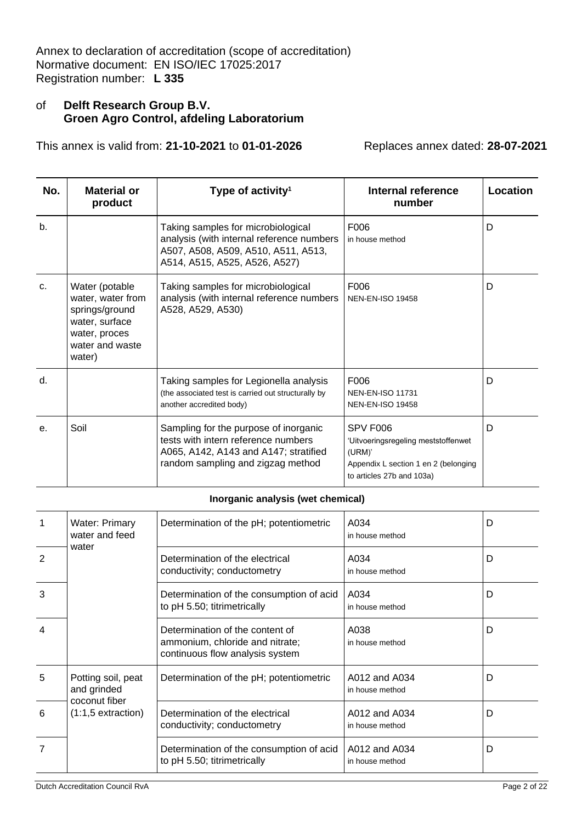# of **Delft Research Group B.V. Groen Agro Control, afdeling Laboratorium**

This annex is valid from: **21-10-2021** to **01-01-2026** Replaces annex dated: **28-07-2021**

| No. | <b>Material or</b><br>product                                                                                         | Type of activity <sup>1</sup>                                                                                                                              | <b>Internal reference</b><br>number                                                                                            | Location |
|-----|-----------------------------------------------------------------------------------------------------------------------|------------------------------------------------------------------------------------------------------------------------------------------------------------|--------------------------------------------------------------------------------------------------------------------------------|----------|
| b.  |                                                                                                                       | Taking samples for microbiological<br>analysis (with internal reference numbers<br>A507, A508, A509, A510, A511, A513,<br>A514, A515, A525, A526, A527)    | F006<br>in house method                                                                                                        | D        |
| C.  | Water (potable<br>water, water from<br>springs/ground<br>water, surface<br>water, proces<br>water and waste<br>water) | Taking samples for microbiological<br>analysis (with internal reference numbers<br>A528, A529, A530)                                                       | F006<br><b>NEN-EN-ISO 19458</b>                                                                                                | D        |
| d.  |                                                                                                                       | Taking samples for Legionella analysis<br>(the associated test is carried out structurally by<br>another accredited body)                                  | F006<br><b>NEN-EN-ISO 11731</b><br><b>NEN-EN-ISO 19458</b>                                                                     | D        |
| е.  | Soil                                                                                                                  | Sampling for the purpose of inorganic<br>tests with intern reference numbers<br>A065, A142, A143 and A147; stratified<br>random sampling and zigzag method | SPV F006<br>'Uitvoeringsregeling meststoffenwet<br>(URM)'<br>Appendix L section 1 en 2 (belonging<br>to articles 27b and 103a) | D        |

#### **Inorganic analysis (wet chemical)**

| 1 | <b>Water: Primary</b><br>water and feed                                    | Determination of the pH; potentiometric                                                               | A034<br>in house method          | D |
|---|----------------------------------------------------------------------------|-------------------------------------------------------------------------------------------------------|----------------------------------|---|
| 2 | water                                                                      | Determination of the electrical<br>conductivity; conductometry                                        | A034<br>in house method          | D |
| 3 |                                                                            | Determination of the consumption of acid<br>to pH 5.50; titrimetrically                               | A034<br>in house method          | D |
| 4 |                                                                            | Determination of the content of<br>ammonium, chloride and nitrate;<br>continuous flow analysis system | A038<br>in house method          | D |
| 5 | Potting soil, peat<br>and grinded<br>coconut fiber<br>$(1:1,5$ extraction) | Determination of the pH; potentiometric                                                               | A012 and A034<br>in house method | D |
| 6 |                                                                            | Determination of the electrical<br>conductivity; conductometry                                        | A012 and A034<br>in house method | D |
| 7 |                                                                            | Determination of the consumption of acid<br>to pH 5.50; titrimetrically                               | A012 and A034<br>in house method | D |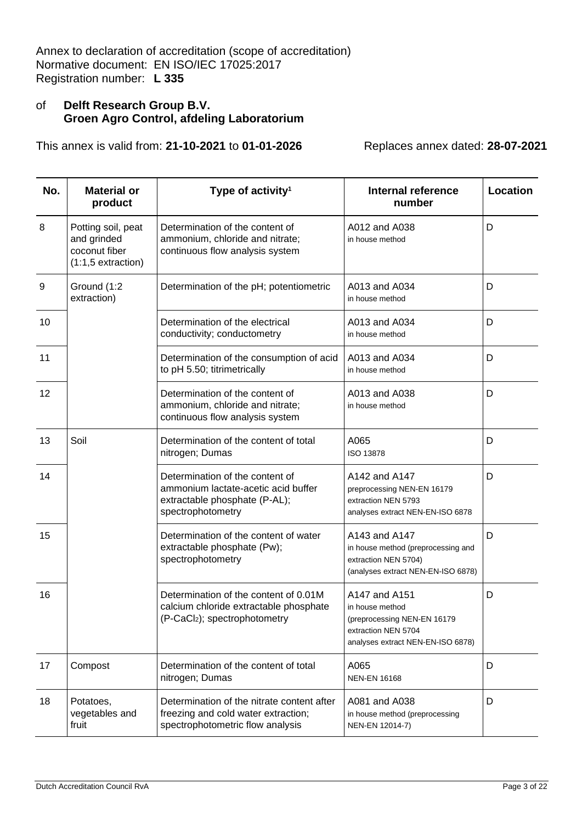# of **Delft Research Group B.V. Groen Agro Control, afdeling Laboratorium**

| No.              | <b>Material or</b><br>product                                              | Type of activity <sup>1</sup>                                                                                                | <b>Internal reference</b><br>number                                                                                         | <b>Location</b> |
|------------------|----------------------------------------------------------------------------|------------------------------------------------------------------------------------------------------------------------------|-----------------------------------------------------------------------------------------------------------------------------|-----------------|
| 8                | Potting soil, peat<br>and grinded<br>coconut fiber<br>$(1:1,5$ extraction) | Determination of the content of<br>ammonium, chloride and nitrate;<br>continuous flow analysis system                        | A012 and A038<br>in house method                                                                                            | D               |
| $\boldsymbol{9}$ | Ground (1:2<br>extraction)                                                 | Determination of the pH; potentiometric                                                                                      | A013 and A034<br>in house method                                                                                            | D               |
| 10               |                                                                            | Determination of the electrical<br>conductivity; conductometry                                                               | A013 and A034<br>in house method                                                                                            | D               |
| 11               |                                                                            | Determination of the consumption of acid<br>to pH 5.50; titrimetrically                                                      | A013 and A034<br>in house method                                                                                            | D               |
| 12               |                                                                            | Determination of the content of<br>ammonium, chloride and nitrate;<br>continuous flow analysis system                        | A013 and A038<br>in house method                                                                                            | D               |
| 13               | Soil                                                                       | Determination of the content of total<br>nitrogen; Dumas                                                                     | A065<br>ISO 13878                                                                                                           | D               |
| 14               |                                                                            | Determination of the content of<br>ammonium lactate-acetic acid buffer<br>extractable phosphate (P-AL);<br>spectrophotometry | A142 and A147<br>preprocessing NEN-EN 16179<br>extraction NEN 5793<br>analyses extract NEN-EN-ISO 6878                      | D               |
| 15               |                                                                            | Determination of the content of water<br>extractable phosphate (Pw);<br>spectrophotometry                                    | A143 and A147<br>in house method (preprocessing and<br>extraction NEN 5704)<br>(analyses extract NEN-EN-ISO 6878)           | D               |
| 16               |                                                                            | Determination of the content of 0.01M<br>calcium chloride extractable phosphate<br>(P-CaCl <sub>2</sub> ); spectrophotometry | A147 and A151<br>in house method<br>(preprocessing NEN-EN 16179<br>extraction NEN 5704<br>analyses extract NEN-EN-ISO 6878) | D               |
| 17               | Compost                                                                    | Determination of the content of total<br>nitrogen; Dumas                                                                     | A065<br><b>NEN-EN 16168</b>                                                                                                 | D               |
| 18               | Potatoes,<br>vegetables and<br>fruit                                       | Determination of the nitrate content after<br>freezing and cold water extraction;<br>spectrophotometric flow analysis        | A081 and A038<br>in house method (preprocessing<br>NEN-EN 12014-7)                                                          | D               |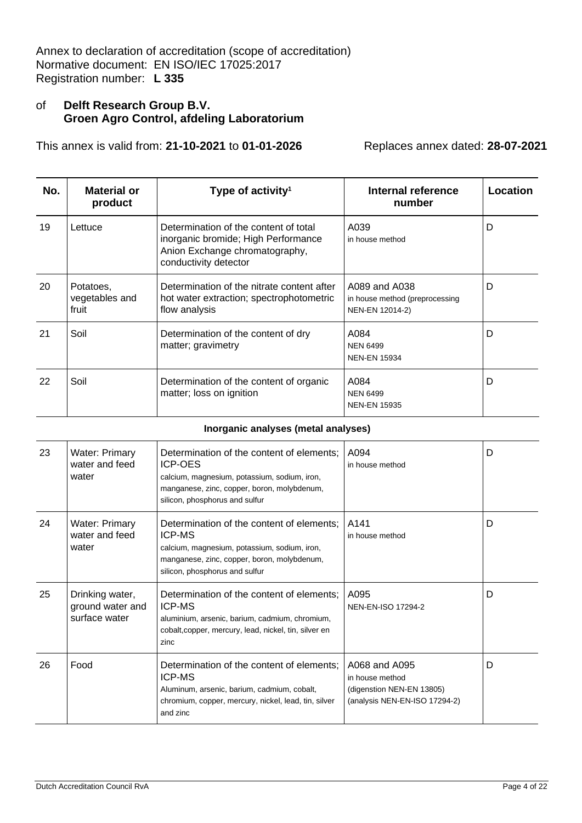#### of **Delft Research Group B.V. Groen Agro Control, afdeling Laboratorium**

This annex is valid from: **21-10-2021** to **01-01-2026** Replaces annex dated: **28-07-2021**

| No. | Material or<br>product               | Type of activity <sup>1</sup>                                                                                                           | Internal reference<br>number                                       | Location |
|-----|--------------------------------------|-----------------------------------------------------------------------------------------------------------------------------------------|--------------------------------------------------------------------|----------|
| 19  | Lettuce                              | Determination of the content of total<br>inorganic bromide; High Performance<br>Anion Exchange chromatography,<br>conductivity detector | A039<br>in house method                                            | D        |
| 20  | Potatoes,<br>vegetables and<br>fruit | Determination of the nitrate content after<br>hot water extraction; spectrophotometric<br>flow analysis                                 | A089 and A038<br>in house method (preprocessing<br>NEN-EN 12014-2) | D        |
| 21  | Soil                                 | Determination of the content of dry<br>matter; gravimetry                                                                               | A084<br><b>NEN 6499</b><br><b>NEN-EN 15934</b>                     | D        |
| 22  | Soil                                 | Determination of the content of organic<br>matter; loss on ignition                                                                     | A084<br><b>NEN 6499</b><br><b>NEN-EN 15935</b>                     | D        |

#### **Inorganic analyses (metal analyses)**

| 23 | <b>Water: Primary</b><br>water and feed<br>water     | Determination of the content of elements;<br><b>ICP-OES</b><br>calcium, magnesium, potassium, sodium, iron,<br>manganese, zinc, copper, boron, molybdenum,<br>silicon, phosphorus and sulfur | A094<br>in house method                                                                        | D |
|----|------------------------------------------------------|----------------------------------------------------------------------------------------------------------------------------------------------------------------------------------------------|------------------------------------------------------------------------------------------------|---|
| 24 | <b>Water: Primary</b><br>water and feed<br>water     | Determination of the content of elements:<br>ICP-MS<br>calcium, magnesium, potassium, sodium, iron,<br>manganese, zinc, copper, boron, molybdenum,<br>silicon, phosphorus and sulfur         | A141<br>in house method                                                                        | D |
| 25 | Drinking water,<br>ground water and<br>surface water | Determination of the content of elements;<br><b>ICP-MS</b><br>aluminium, arsenic, barium, cadmium, chromium,<br>cobalt, copper, mercury, lead, nickel, tin, silver en<br>zinc                | A095<br>NEN-EN-ISO 17294-2                                                                     | D |
| 26 | Food                                                 | Determination of the content of elements;<br><b>ICP-MS</b><br>Aluminum, arsenic, barium, cadmium, cobalt,<br>chromium, copper, mercury, nickel, lead, tin, silver<br>and zinc                | A068 and A095<br>in house method<br>(digenstion NEN-EN 13805)<br>(analysis NEN-EN-ISO 17294-2) | D |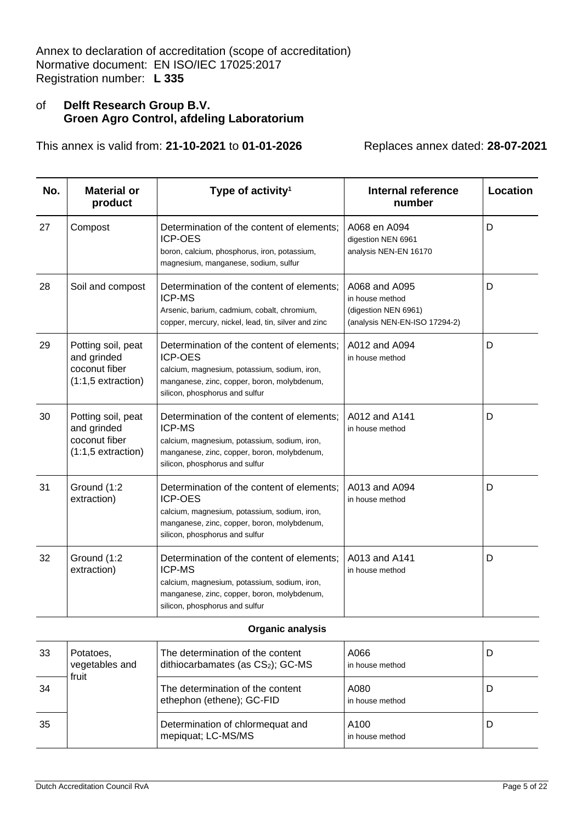# of **Delft Research Group B.V. Groen Agro Control, afdeling Laboratorium**

This annex is valid from: **21-10-2021** to **01-01-2026** Replaces annex dated: **28-07-2021**

| No. | <b>Material or</b><br>product                                              | Type of activity <sup>1</sup>                                                                                                                                                                | <b>Internal reference</b><br>number                                                       | <b>Location</b> |
|-----|----------------------------------------------------------------------------|----------------------------------------------------------------------------------------------------------------------------------------------------------------------------------------------|-------------------------------------------------------------------------------------------|-----------------|
| 27  | Compost                                                                    | Determination of the content of elements;<br><b>ICP-OES</b><br>boron, calcium, phosphorus, iron, potassium,<br>magnesium, manganese, sodium, sulfur                                          | A068 en A094<br>digestion NEN 6961<br>analysis NEN-EN 16170                               | D               |
| 28  | Soil and compost                                                           | Determination of the content of elements;<br><b>ICP-MS</b><br>Arsenic, barium, cadmium, cobalt, chromium,<br>copper, mercury, nickel, lead, tin, silver and zinc                             | A068 and A095<br>in house method<br>(digestion NEN 6961)<br>(analysis NEN-EN-ISO 17294-2) | D               |
| 29  | Potting soil, peat<br>and grinded<br>coconut fiber<br>$(1:1,5$ extraction) | Determination of the content of elements;<br><b>ICP-OES</b><br>calcium, magnesium, potassium, sodium, iron,<br>manganese, zinc, copper, boron, molybdenum,<br>silicon, phosphorus and sulfur | A012 and A094<br>in house method                                                          | D               |
| 30  | Potting soil, peat<br>and grinded<br>coconut fiber<br>$(1:1,5$ extraction) | Determination of the content of elements;<br><b>ICP-MS</b><br>calcium, magnesium, potassium, sodium, iron,<br>manganese, zinc, copper, boron, molybdenum,<br>silicon, phosphorus and sulfur  | A012 and A141<br>in house method                                                          | D               |
| 31  | Ground (1:2<br>extraction)                                                 | Determination of the content of elements;<br><b>ICP-OES</b><br>calcium, magnesium, potassium, sodium, iron,<br>manganese, zinc, copper, boron, molybdenum,<br>silicon, phosphorus and sulfur | A013 and A094<br>in house method                                                          | D               |
| 32  | Ground (1:2<br>extraction)                                                 | Determination of the content of elements;<br><b>ICP-MS</b><br>calcium, magnesium, potassium, sodium, iron,<br>manganese, zinc, copper, boron, molybdenum,<br>silicon, phosphorus and sulfur  | A013 and A141<br>in house method                                                          | D               |

#### **Organic analysis**

| 33 | Potatoes,<br>vegetables and<br>fruit | The determination of the content<br>dithiocarbamates (as CS2); GC-MS | A066<br>in house method |  |
|----|--------------------------------------|----------------------------------------------------------------------|-------------------------|--|
| 34 |                                      | The determination of the content<br>ethephon (ethene); GC-FID        | A080<br>in house method |  |
| 35 |                                      | Determination of chlormequat and<br>mepiquat; LC-MS/MS               | A100<br>in house method |  |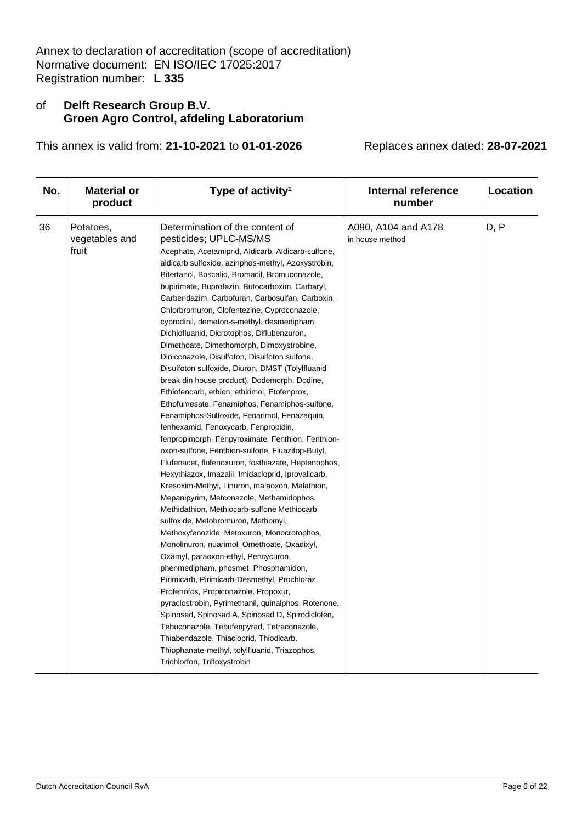# of **Delft Research Group B.V. Groen Agro Control, afdeling Laboratorium**

| No. | <b>Material or</b><br>product        | Type of activity <sup>1</sup>                                                                                                                                                                                                                                                                                                                                                                                                                                                                                                                                                                                                                                                                                                                                                                                                                                                                                                                                                                                                                                                                                                                                                                                                                                                                                                                                                                                                                                                                                                                                                                                                                                                                                                                                                                                                          | <b>Internal reference</b><br>number    | Location |
|-----|--------------------------------------|----------------------------------------------------------------------------------------------------------------------------------------------------------------------------------------------------------------------------------------------------------------------------------------------------------------------------------------------------------------------------------------------------------------------------------------------------------------------------------------------------------------------------------------------------------------------------------------------------------------------------------------------------------------------------------------------------------------------------------------------------------------------------------------------------------------------------------------------------------------------------------------------------------------------------------------------------------------------------------------------------------------------------------------------------------------------------------------------------------------------------------------------------------------------------------------------------------------------------------------------------------------------------------------------------------------------------------------------------------------------------------------------------------------------------------------------------------------------------------------------------------------------------------------------------------------------------------------------------------------------------------------------------------------------------------------------------------------------------------------------------------------------------------------------------------------------------------------|----------------------------------------|----------|
| 36  | Potatoes,<br>vegetables and<br>fruit | Determination of the content of<br>pesticides; UPLC-MS/MS<br>Acephate, Acetamiprid, Aldicarb, Aldicarb-sulfone,<br>aldicarb sulfoxide, azinphos-methyl, Azoxystrobin,<br>Bitertanol, Boscalid, Bromacil, Bromuconazole,<br>bupirimate, Buprofezin, Butocarboxim, Carbaryl,<br>Carbendazim, Carbofuran, Carbosulfan, Carboxin,<br>Chlorbromuron, Clofentezine, Cyproconazole,<br>cyprodinil, demeton-s-methyl, desmedipham,<br>Dichlofluanid, Dicrotophos, Diflubenzuron,<br>Dimethoate, Dimethomorph, Dimoxystrobine,<br>Diniconazole, Disulfoton, Disulfoton sulfone,<br>Disulfoton sulfoxide, Diuron, DMST (Tolylfluanid<br>break din house product), Dodemorph, Dodine,<br>Ethiofencarb, ethion, ethirimol, Etofenprox,<br>Ethofumesate, Fenamiphos, Fenamiphos-sulfone,<br>Fenamiphos-Sulfoxide, Fenarimol, Fenazaquin,<br>fenhexamid, Fenoxycarb, Fenpropidin,<br>fenpropimorph, Fenpyroximate, Fenthion, Fenthion-<br>oxon-sulfone, Fenthion-sulfone, Fluazifop-Butyl,<br>Flufenacet, flufenoxuron, fosthiazate, Heptenophos,<br>Hexythiazox, Imazalil, Imidacloprid, Iprovalicarb,<br>Kresoxim-Methyl, Linuron, malaoxon, Malathion,<br>Mepanipyrim, Metconazole, Methamidophos,<br>Methidathion, Methiocarb-sulfone Methiocarb<br>sulfoxide, Metobromuron, Methomyl,<br>Methoxyfenozide, Metoxuron, Monocrotophos,<br>Monolinuron, nuarimol, Omethoate, Oxadixyl,<br>Oxamyl, paraoxon-ethyl, Pencycuron,<br>phenmedipham, phosmet, Phosphamidon,<br>Pirimicarb, Pirimicarb-Desmethyl, Prochloraz,<br>Profenofos, Propiconazole, Propoxur,<br>pyraclostrobin, Pyrimethanil, quinalphos, Rotenone,<br>Spinosad, Spinosad A, Spinosad D, Spirodiclofen,<br>Tebuconazole, Tebufenpyrad, Tetraconazole,<br>Thiabendazole, Thiacloprid, Thiodicarb,<br>Thiophanate-methyl, tolylfluanid, Triazophos,<br>Trichlorfon, Trifloxystrobin | A090, A104 and A178<br>in house method | D, P     |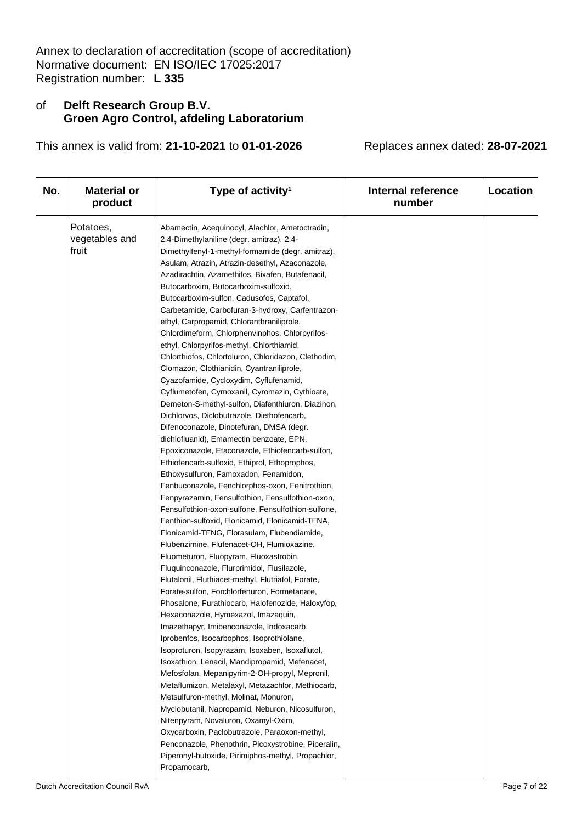# of **Delft Research Group B.V. Groen Agro Control, afdeling Laboratorium**

| No. | <b>Material or</b><br>product        | Type of activity <sup>1</sup>                                                                                                                                                                                                                                                                                                                                                                                                                                                                                                                                                                                                                                                                                                                                                                                                                                                                                                                                                                                                                                                                                                                                                                                                                                                                                                                                                                                                                                                                                                                                                                                                                                                                                                                                                                                                                                                                                                                                                                                                                                                                                                                                                            | <b>Internal reference</b><br>number | <b>Location</b> |
|-----|--------------------------------------|------------------------------------------------------------------------------------------------------------------------------------------------------------------------------------------------------------------------------------------------------------------------------------------------------------------------------------------------------------------------------------------------------------------------------------------------------------------------------------------------------------------------------------------------------------------------------------------------------------------------------------------------------------------------------------------------------------------------------------------------------------------------------------------------------------------------------------------------------------------------------------------------------------------------------------------------------------------------------------------------------------------------------------------------------------------------------------------------------------------------------------------------------------------------------------------------------------------------------------------------------------------------------------------------------------------------------------------------------------------------------------------------------------------------------------------------------------------------------------------------------------------------------------------------------------------------------------------------------------------------------------------------------------------------------------------------------------------------------------------------------------------------------------------------------------------------------------------------------------------------------------------------------------------------------------------------------------------------------------------------------------------------------------------------------------------------------------------------------------------------------------------------------------------------------------------|-------------------------------------|-----------------|
|     | Potatoes,<br>vegetables and<br>fruit | Abamectin, Acequinocyl, Alachlor, Ametoctradin,<br>2.4-Dimethylaniline (degr. amitraz), 2.4-<br>Dimethylfenyl-1-methyl-formamide (degr. amitraz),<br>Asulam, Atrazin, Atrazin-desethyl, Azaconazole,<br>Azadirachtin, Azamethifos, Bixafen, Butafenacil,<br>Butocarboxim, Butocarboxim-sulfoxid,<br>Butocarboxim-sulfon, Cadusofos, Captafol,<br>Carbetamide, Carbofuran-3-hydroxy, Carfentrazon-<br>ethyl, Carpropamid, Chloranthraniliprole,<br>Chlordimeform, Chlorphenvinphos, Chlorpyrifos-<br>ethyl, Chlorpyrifos-methyl, Chlorthiamid,<br>Chlorthiofos, Chlortoluron, Chloridazon, Clethodim,<br>Clomazon, Clothianidin, Cyantraniliprole,<br>Cyazofamide, Cycloxydim, Cyflufenamid,<br>Cyflumetofen, Cymoxanil, Cyromazin, Cythioate,<br>Demeton-S-methyl-sulfon, Diafenthiuron, Diazinon,<br>Dichlorvos, Diclobutrazole, Diethofencarb,<br>Difenoconazole, Dinotefuran, DMSA (degr.<br>dichlofluanid), Emamectin benzoate, EPN,<br>Epoxiconazole, Etaconazole, Ethiofencarb-sulfon,<br>Ethiofencarb-sulfoxid, Ethiprol, Ethoprophos,<br>Ethoxysulfuron, Famoxadon, Fenamidon,<br>Fenbuconazole, Fenchlorphos-oxon, Fenitrothion,<br>Fenpyrazamin, Fensulfothion, Fensulfothion-oxon,<br>Fensulfothion-oxon-sulfone, Fensulfothion-sulfone,<br>Fenthion-sulfoxid, Flonicamid, Flonicamid-TFNA,<br>Flonicamid-TFNG, Florasulam, Flubendiamide,<br>Flubenzimine, Flufenacet-OH, Flumioxazine,<br>Fluometuron, Fluopyram, Fluoxastrobin,<br>Fluquinconazole, Flurprimidol, Flusilazole,<br>Flutalonil, Fluthiacet-methyl, Flutriafol, Forate,<br>Forate-sulfon, Forchlorfenuron, Formetanate,<br>Phosalone, Furathiocarb, Halofenozide, Haloxyfop,<br>Hexaconazole, Hymexazol, Imazaquin,<br>Imazethapyr, Imibenconazole, Indoxacarb,<br>Iprobenfos, Isocarbophos, Isoprothiolane,<br>Isoproturon, Isopyrazam, Isoxaben, Isoxaflutol,<br>Isoxathion, Lenacil, Mandipropamid, Mefenacet,<br>Mefosfolan, Mepanipyrim-2-OH-propyl, Mepronil,<br>Metaflumizon, Metalaxyl, Metazachlor, Methiocarb,<br>Metsulfuron-methyl, Molinat, Monuron,<br>Myclobutanil, Napropamid, Neburon, Nicosulfuron,<br>Nitenpyram, Novaluron, Oxamyl-Oxim,<br>Oxycarboxin, Paclobutrazole, Paraoxon-methyl, |                                     |                 |
|     |                                      | Penconazole, Phenothrin, Picoxystrobine, Piperalin,<br>Piperonyl-butoxide, Pirimiphos-methyl, Propachlor,<br>Propamocarb,                                                                                                                                                                                                                                                                                                                                                                                                                                                                                                                                                                                                                                                                                                                                                                                                                                                                                                                                                                                                                                                                                                                                                                                                                                                                                                                                                                                                                                                                                                                                                                                                                                                                                                                                                                                                                                                                                                                                                                                                                                                                |                                     |                 |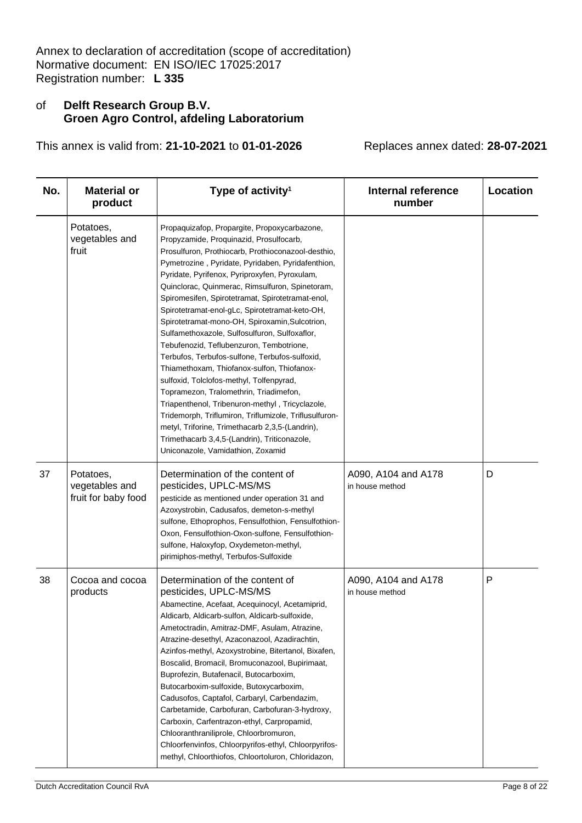# of **Delft Research Group B.V. Groen Agro Control, afdeling Laboratorium**

| No. | <b>Material or</b><br>product                      | Type of activity <sup>1</sup>                                                                                                                                                                                                                                                                                                                                                                                                                                                                                                                                                                                                                                                                                                                                                                                                                                                                                                                                                                          | <b>Internal reference</b><br>number    | <b>Location</b> |
|-----|----------------------------------------------------|--------------------------------------------------------------------------------------------------------------------------------------------------------------------------------------------------------------------------------------------------------------------------------------------------------------------------------------------------------------------------------------------------------------------------------------------------------------------------------------------------------------------------------------------------------------------------------------------------------------------------------------------------------------------------------------------------------------------------------------------------------------------------------------------------------------------------------------------------------------------------------------------------------------------------------------------------------------------------------------------------------|----------------------------------------|-----------------|
|     | Potatoes,<br>vegetables and<br>fruit               | Propaquizafop, Propargite, Propoxycarbazone,<br>Propyzamide, Proquinazid, Prosulfocarb,<br>Prosulfuron, Prothiocarb, Prothioconazool-desthio,<br>Pymetrozine, Pyridate, Pyridaben, Pyridafenthion,<br>Pyridate, Pyrifenox, Pyriproxyfen, Pyroxulam,<br>Quinclorac, Quinmerac, Rimsulfuron, Spinetoram,<br>Spiromesifen, Spirotetramat, Spirotetramat-enol,<br>Spirotetramat-enol-gLc, Spirotetramat-keto-OH,<br>Spirotetramat-mono-OH, Spiroxamin, Sulcotrion,<br>Sulfamethoxazole, Sulfosulfuron, Sulfoxaflor,<br>Tebufenozid, Teflubenzuron, Tembotrione,<br>Terbufos, Terbufos-sulfone, Terbufos-sulfoxid,<br>Thiamethoxam, Thiofanox-sulfon, Thiofanox-<br>sulfoxid, Tolclofos-methyl, Tolfenpyrad,<br>Topramezon, Tralomethrin, Triadimefon,<br>Triapenthenol, Tribenuron-methyl, Tricyclazole,<br>Tridemorph, Triflumiron, Triflumizole, Triflusulfuron-<br>metyl, Triforine, Trimethacarb 2,3,5-(Landrin),<br>Trimethacarb 3,4,5-(Landrin), Triticonazole,<br>Uniconazole, Vamidathion, Zoxamid |                                        |                 |
| 37  | Potatoes,<br>vegetables and<br>fruit for baby food | Determination of the content of<br>pesticides, UPLC-MS/MS<br>pesticide as mentioned under operation 31 and<br>Azoxystrobin, Cadusafos, demeton-s-methyl<br>sulfone, Ethoprophos, Fensulfothion, Fensulfothion-<br>Oxon, Fensulfothion-Oxon-sulfone, Fensulfothion-<br>sulfone, Haloxyfop, Oxydemeton-methyl,<br>pirimiphos-methyl, Terbufos-Sulfoxide                                                                                                                                                                                                                                                                                                                                                                                                                                                                                                                                                                                                                                                  | A090, A104 and A178<br>in house method | D               |
| 38  | Cocoa and cocoa<br>products                        | Determination of the content of<br>pesticides, UPLC-MS/MS<br>Abamectine, Acefaat, Acequinocyl, Acetamiprid,<br>Aldicarb, Aldicarb-sulfon, Aldicarb-sulfoxide,<br>Ametoctradin, Amitraz-DMF, Asulam, Atrazine,<br>Atrazine-desethyl, Azaconazool, Azadirachtin,<br>Azinfos-methyl, Azoxystrobine, Bitertanol, Bixafen,<br>Boscalid, Bromacil, Bromuconazool, Bupirimaat,<br>Buprofezin, Butafenacil, Butocarboxim,<br>Butocarboxim-sulfoxide, Butoxycarboxim,<br>Cadusofos, Captafol, Carbaryl, Carbendazim,<br>Carbetamide, Carbofuran, Carbofuran-3-hydroxy,<br>Carboxin, Carfentrazon-ethyl, Carpropamid,<br>Chlooranthraniliprole, Chloorbromuron,<br>Chloorfenvinfos, Chloorpyrifos-ethyl, Chloorpyrifos-<br>methyl, Chloorthiofos, Chloortoluron, Chloridazon,                                                                                                                                                                                                                                    | A090, A104 and A178<br>in house method | Ρ               |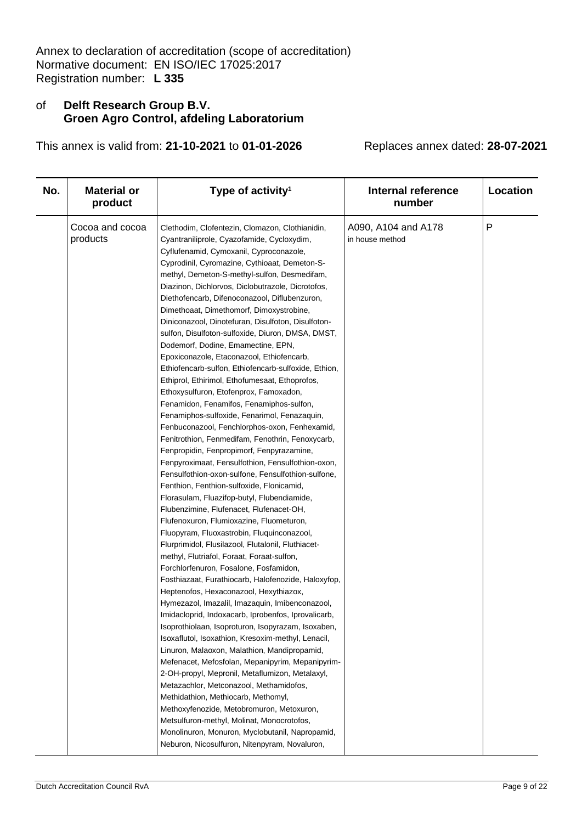# of **Delft Research Group B.V. Groen Agro Control, afdeling Laboratorium**

| No. | <b>Material or</b><br>product | Type of activity <sup>1</sup>                                                                                                                                                                                                                                                                                                                                                                                                                                                                                                                                                                                                                                                                                                                                                                                                                                                                                                                                                                                                                                                                                                                                                                                                                                                                                                                                                                                                                                                                                                                                                                                                                                                                                                                                                                                                                                                                                                                                                                                                                                                                                                                                                                        | <b>Internal reference</b><br>number    | Location |
|-----|-------------------------------|------------------------------------------------------------------------------------------------------------------------------------------------------------------------------------------------------------------------------------------------------------------------------------------------------------------------------------------------------------------------------------------------------------------------------------------------------------------------------------------------------------------------------------------------------------------------------------------------------------------------------------------------------------------------------------------------------------------------------------------------------------------------------------------------------------------------------------------------------------------------------------------------------------------------------------------------------------------------------------------------------------------------------------------------------------------------------------------------------------------------------------------------------------------------------------------------------------------------------------------------------------------------------------------------------------------------------------------------------------------------------------------------------------------------------------------------------------------------------------------------------------------------------------------------------------------------------------------------------------------------------------------------------------------------------------------------------------------------------------------------------------------------------------------------------------------------------------------------------------------------------------------------------------------------------------------------------------------------------------------------------------------------------------------------------------------------------------------------------------------------------------------------------------------------------------------------------|----------------------------------------|----------|
|     | Cocoa and cocoa<br>products   | Clethodim, Clofentezin, Clomazon, Clothianidin,<br>Cyantraniliprole, Cyazofamide, Cycloxydim,<br>Cyflufenamid, Cymoxanil, Cyproconazole,<br>Cyprodinil, Cyromazine, Cythioaat, Demeton-S-<br>methyl, Demeton-S-methyl-sulfon, Desmedifam,<br>Diazinon, Dichlorvos, Diclobutrazole, Dicrotofos,<br>Diethofencarb, Difenoconazool, Diflubenzuron,<br>Dimethoaat, Dimethomorf, Dimoxystrobine,<br>Diniconazool, Dinotefuran, Disulfoton, Disulfoton-<br>sulfon, Disulfoton-sulfoxide, Diuron, DMSA, DMST,<br>Dodemorf, Dodine, Emamectine, EPN,<br>Epoxiconazole, Etaconazool, Ethiofencarb,<br>Ethiofencarb-sulfon, Ethiofencarb-sulfoxide, Ethion,<br>Ethiprol, Ethirimol, Ethofumesaat, Ethoprofos,<br>Ethoxysulfuron, Etofenprox, Famoxadon,<br>Fenamidon, Fenamifos, Fenamiphos-sulfon,<br>Fenamiphos-sulfoxide, Fenarimol, Fenazaquin,<br>Fenbuconazool, Fenchlorphos-oxon, Fenhexamid,<br>Fenitrothion, Fenmedifam, Fenothrin, Fenoxycarb,<br>Fenpropidin, Fenpropimorf, Fenpyrazamine,<br>Fenpyroximaat, Fensulfothion, Fensulfothion-oxon,<br>Fensulfothion-oxon-sulfone, Fensulfothion-sulfone,<br>Fenthion, Fenthion-sulfoxide, Flonicamid,<br>Florasulam, Fluazifop-butyl, Flubendiamide,<br>Flubenzimine, Flufenacet, Flufenacet-OH,<br>Flufenoxuron, Flumioxazine, Fluometuron,<br>Fluopyram, Fluoxastrobin, Fluquinconazool,<br>Flurprimidol, Flusilazool, Flutalonil, Fluthiacet-<br>methyl, Flutriafol, Foraat, Foraat-sulfon,<br>Forchlorfenuron, Fosalone, Fosfamidon,<br>Fosthiazaat, Furathiocarb, Halofenozide, Haloxyfop,<br>Heptenofos, Hexaconazool, Hexythiazox,<br>Hymezazol, Imazalil, Imazaquin, Imibenconazool,<br>Imidacloprid, Indoxacarb, Iprobenfos, Iprovalicarb,<br>Isoprothiolaan, Isoproturon, Isopyrazam, Isoxaben,<br>Isoxaflutol, Isoxathion, Kresoxim-methyl, Lenacil,<br>Linuron, Malaoxon, Malathion, Mandipropamid,<br>Mefenacet, Mefosfolan, Mepanipyrim, Mepanipyrim-<br>2-OH-propyl, Mepronil, Metaflumizon, Metalaxyl,<br>Metazachlor, Metconazool, Methamidofos,<br>Methidathion, Methiocarb, Methomyl,<br>Methoxyfenozide, Metobromuron, Metoxuron,<br>Metsulfuron-methyl, Molinat, Monocrotofos,<br>Monolinuron, Monuron, Myclobutanil, Napropamid, | A090, A104 and A178<br>in house method | P        |
|     |                               | Neburon, Nicosulfuron, Nitenpyram, Novaluron,                                                                                                                                                                                                                                                                                                                                                                                                                                                                                                                                                                                                                                                                                                                                                                                                                                                                                                                                                                                                                                                                                                                                                                                                                                                                                                                                                                                                                                                                                                                                                                                                                                                                                                                                                                                                                                                                                                                                                                                                                                                                                                                                                        |                                        |          |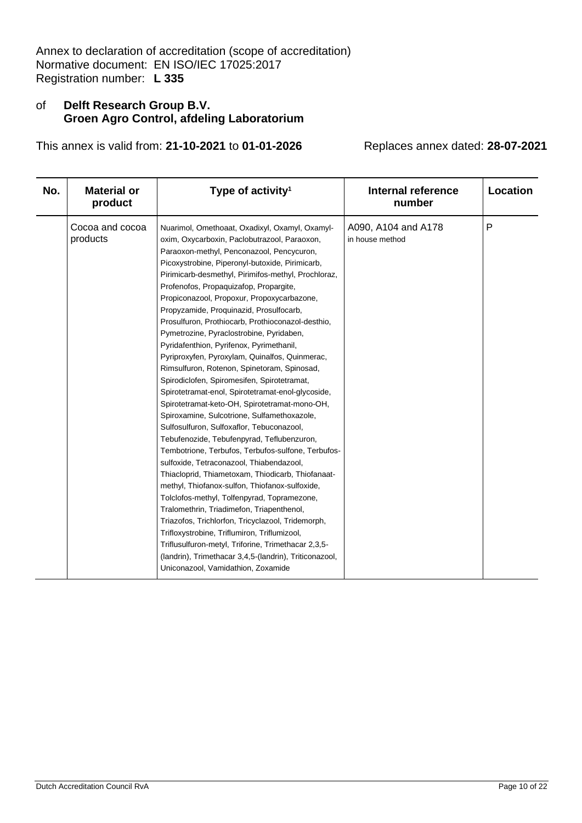# of **Delft Research Group B.V. Groen Agro Control, afdeling Laboratorium**

| No. | <b>Material or</b><br>product | Type of activity <sup>1</sup>                                                                                                                                                                                                                                                                                                                                                                                                                                                                                                                                                                                                                                                                                                                                                                                                                                                                                                                                                                                                                                                                                                                                                                                                                                                                                                                                                                                                                                                                          | Internal reference<br>number           | Location |
|-----|-------------------------------|--------------------------------------------------------------------------------------------------------------------------------------------------------------------------------------------------------------------------------------------------------------------------------------------------------------------------------------------------------------------------------------------------------------------------------------------------------------------------------------------------------------------------------------------------------------------------------------------------------------------------------------------------------------------------------------------------------------------------------------------------------------------------------------------------------------------------------------------------------------------------------------------------------------------------------------------------------------------------------------------------------------------------------------------------------------------------------------------------------------------------------------------------------------------------------------------------------------------------------------------------------------------------------------------------------------------------------------------------------------------------------------------------------------------------------------------------------------------------------------------------------|----------------------------------------|----------|
|     | Cocoa and cocoa<br>products   | Nuarimol, Omethoaat, Oxadixyl, Oxamyl, Oxamyl-<br>oxim, Oxycarboxin, Paclobutrazool, Paraoxon,<br>Paraoxon-methyl, Penconazool, Pencycuron,<br>Picoxystrobine, Piperonyl-butoxide, Pirimicarb,<br>Pirimicarb-desmethyl, Pirimifos-methyl, Prochloraz,<br>Profenofos, Propaquizafop, Propargite,<br>Propiconazool, Propoxur, Propoxycarbazone,<br>Propyzamide, Proquinazid, Prosulfocarb,<br>Prosulfuron, Prothiocarb, Prothioconazol-desthio,<br>Pymetrozine, Pyraclostrobine, Pyridaben,<br>Pyridafenthion, Pyrifenox, Pyrimethanil,<br>Pyriproxyfen, Pyroxylam, Quinalfos, Quinmerac,<br>Rimsulfuron, Rotenon, Spinetoram, Spinosad,<br>Spirodiclofen, Spiromesifen, Spirotetramat,<br>Spirotetramat-enol, Spirotetramat-enol-glycoside,<br>Spirotetramat-keto-OH, Spirotetramat-mono-OH,<br>Spiroxamine, Sulcotrione, Sulfamethoxazole,<br>Sulfosulfuron, Sulfoxaflor, Tebuconazool,<br>Tebufenozide, Tebufenpyrad, Teflubenzuron,<br>Tembotrione, Terbufos, Terbufos-sulfone, Terbufos-<br>sulfoxide, Tetraconazool, Thiabendazool,<br>Thiacloprid, Thiametoxam, Thiodicarb, Thiofanaat-<br>methyl, Thiofanox-sulfon, Thiofanox-sulfoxide,<br>Tolclofos-methyl, Tolfenpyrad, Topramezone,<br>Tralomethrin, Triadimefon, Triapenthenol,<br>Triazofos, Trichlorfon, Tricyclazool, Tridemorph,<br>Trifloxystrobine, Triflumiron, Triflumizool,<br>Triflusulfuron-metyl, Triforine, Trimethacar 2,3,5-<br>(landrin), Trimethacar 3,4,5-(landrin), Triticonazool,<br>Uniconazool, Vamidathion, Zoxamide | A090, A104 and A178<br>in house method | P        |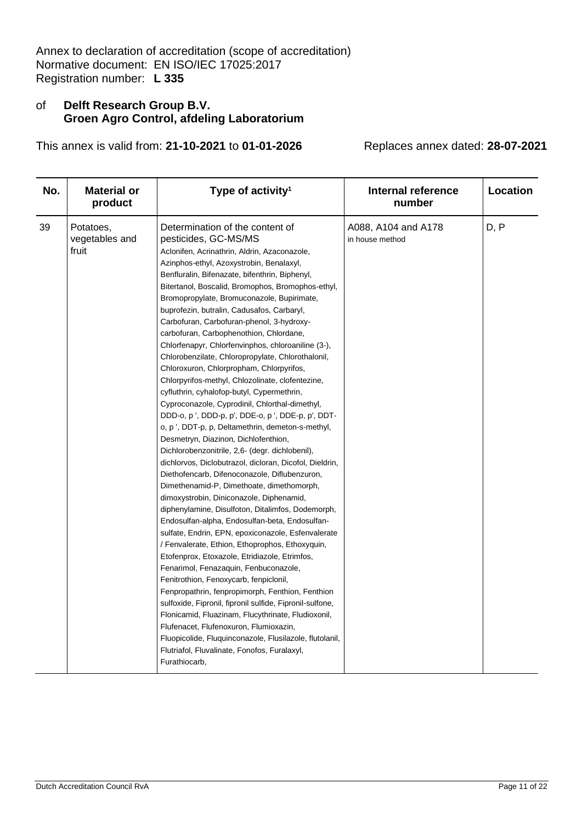# of **Delft Research Group B.V. Groen Agro Control, afdeling Laboratorium**

| No. | <b>Material or</b><br>product        | Type of activity <sup>1</sup>                                                                                                                                                                                                                                                                                                                                                                                                                                                                                                                                                                                                                                                                                                                                                                                                                                                                                                                                                                                                                                                                                                                                                                                                                                                                                                                                                                                                                                                                                                                                                                                                                                                                                                                                                                                                                                       | <b>Internal reference</b><br>number    | <b>Location</b> |
|-----|--------------------------------------|---------------------------------------------------------------------------------------------------------------------------------------------------------------------------------------------------------------------------------------------------------------------------------------------------------------------------------------------------------------------------------------------------------------------------------------------------------------------------------------------------------------------------------------------------------------------------------------------------------------------------------------------------------------------------------------------------------------------------------------------------------------------------------------------------------------------------------------------------------------------------------------------------------------------------------------------------------------------------------------------------------------------------------------------------------------------------------------------------------------------------------------------------------------------------------------------------------------------------------------------------------------------------------------------------------------------------------------------------------------------------------------------------------------------------------------------------------------------------------------------------------------------------------------------------------------------------------------------------------------------------------------------------------------------------------------------------------------------------------------------------------------------------------------------------------------------------------------------------------------------|----------------------------------------|-----------------|
| 39  | Potatoes,<br>vegetables and<br>fruit | Determination of the content of<br>pesticides, GC-MS/MS<br>Aclonifen, Acrinathrin, Aldrin, Azaconazole,<br>Azinphos-ethyl, Azoxystrobin, Benalaxyl,<br>Benfluralin, Bifenazate, bifenthrin, Biphenyl,<br>Bitertanol, Boscalid, Bromophos, Bromophos-ethyl,<br>Bromopropylate, Bromuconazole, Bupirimate,<br>buprofezin, butralin, Cadusafos, Carbaryl,<br>Carbofuran, Carbofuran-phenol, 3-hydroxy-<br>carbofuran, Carbophenothion, Chlordane,<br>Chlorfenapyr, Chlorfenvinphos, chloroaniline (3-),<br>Chlorobenzilate, Chloropropylate, Chlorothalonil,<br>Chloroxuron, Chlorpropham, Chlorpyrifos,<br>Chlorpyrifos-methyl, Chlozolinate, clofentezine,<br>cyfluthrin, cyhalofop-butyl, Cypermethrin,<br>Cyproconazole, Cyprodinil, Chlorthal-dimethyl,<br>DDD-o, p ', DDD-p, p', DDE-o, p ', DDE-p, p', DDT-<br>o, p', DDT-p, p, Deltamethrin, demeton-s-methyl,<br>Desmetryn, Diazinon, Dichlofenthion,<br>Dichlorobenzonitrile, 2,6- (degr. dichlobenil),<br>dichlorvos, Diclobutrazol, dicloran, Dicofol, Dieldrin,<br>Diethofencarb, Difenoconazole, Diflubenzuron,<br>Dimethenamid-P, Dimethoate, dimethomorph,<br>dimoxystrobin, Diniconazole, Diphenamid,<br>diphenylamine, Disulfoton, Ditalimfos, Dodemorph,<br>Endosulfan-alpha, Endosulfan-beta, Endosulfan-<br>sulfate, Endrin, EPN, epoxiconazole, Esfenvalerate<br>/ Fenvalerate, Ethion, Ethoprophos, Ethoxyquin,<br>Etofenprox, Etoxazole, Etridiazole, Etrimfos,<br>Fenarimol, Fenazaquin, Fenbuconazole,<br>Fenitrothion, Fenoxycarb, fenpiclonil,<br>Fenpropathrin, fenpropimorph, Fenthion, Fenthion<br>sulfoxide, Fipronil, fipronil sulfide, Fipronil-sulfone,<br>Flonicamid, Fluazinam, Flucythrinate, Fludioxonil,<br>Flufenacet, Flufenoxuron, Flumioxazin,<br>Fluopicolide, Fluquinconazole, Flusilazole, flutolanil,<br>Flutriafol, Fluvalinate, Fonofos, Furalaxyl,<br>Furathiocarb, | A088, A104 and A178<br>in house method | D, P            |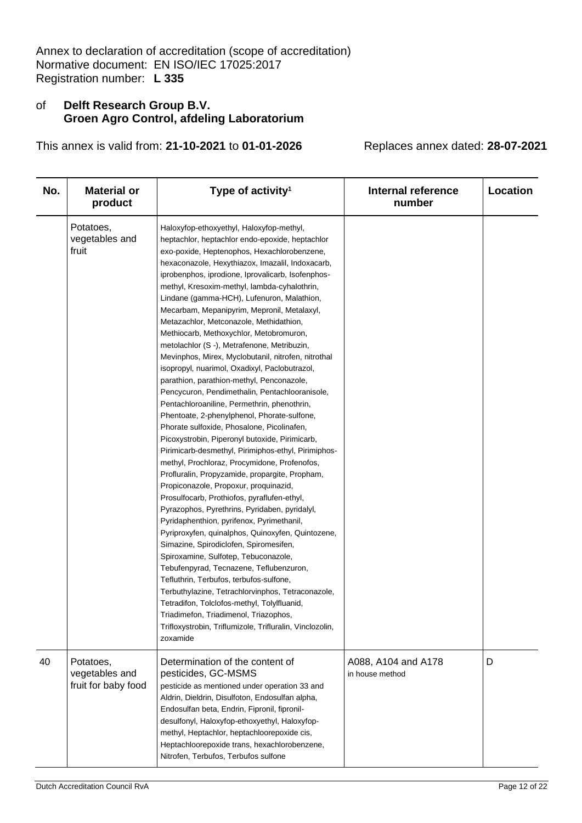# of **Delft Research Group B.V. Groen Agro Control, afdeling Laboratorium**

| No. | <b>Material or</b><br>product                      | Type of activity <sup>1</sup>                                                                                                                                                                                                                                                                                                                                                                                                                                                                                                                                                                                                                                                                                                                                                                                                                                                                                                                                                                                                                                                                                                                                                                                                                                                                                                                                                                                                                                                                                                                                                                                                                                                                                                               | Internal reference<br>number           | Location |
|-----|----------------------------------------------------|---------------------------------------------------------------------------------------------------------------------------------------------------------------------------------------------------------------------------------------------------------------------------------------------------------------------------------------------------------------------------------------------------------------------------------------------------------------------------------------------------------------------------------------------------------------------------------------------------------------------------------------------------------------------------------------------------------------------------------------------------------------------------------------------------------------------------------------------------------------------------------------------------------------------------------------------------------------------------------------------------------------------------------------------------------------------------------------------------------------------------------------------------------------------------------------------------------------------------------------------------------------------------------------------------------------------------------------------------------------------------------------------------------------------------------------------------------------------------------------------------------------------------------------------------------------------------------------------------------------------------------------------------------------------------------------------------------------------------------------------|----------------------------------------|----------|
|     | Potatoes,<br>vegetables and<br>fruit               | Haloxyfop-ethoxyethyl, Haloxyfop-methyl,<br>heptachlor, heptachlor endo-epoxide, heptachlor<br>exo-poxide, Heptenophos, Hexachlorobenzene,<br>hexaconazole, Hexythiazox, Imazalil, Indoxacarb,<br>iprobenphos, iprodione, Iprovalicarb, Isofenphos-<br>methyl, Kresoxim-methyl, lambda-cyhalothrin,<br>Lindane (gamma-HCH), Lufenuron, Malathion,<br>Mecarbam, Mepanipyrim, Mepronil, Metalaxyl,<br>Metazachlor, Metconazole, Methidathion,<br>Methiocarb, Methoxychlor, Metobromuron,<br>metolachlor (S -), Metrafenone, Metribuzin,<br>Mevinphos, Mirex, Myclobutanil, nitrofen, nitrothal<br>isopropyl, nuarimol, Oxadixyl, Paclobutrazol,<br>parathion, parathion-methyl, Penconazole,<br>Pencycuron, Pendimethalin, Pentachlooranisole,<br>Pentachloroaniline, Permethrin, phenothrin,<br>Phentoate, 2-phenylphenol, Phorate-sulfone,<br>Phorate sulfoxide, Phosalone, Picolinafen,<br>Picoxystrobin, Piperonyl butoxide, Pirimicarb,<br>Pirimicarb-desmethyl, Pirimiphos-ethyl, Pirimiphos-<br>methyl, Prochloraz, Procymidone, Profenofos,<br>Profluralin, Propyzamide, propargite, Propham,<br>Propiconazole, Propoxur, proquinazid,<br>Prosulfocarb, Prothiofos, pyraflufen-ethyl,<br>Pyrazophos, Pyrethrins, Pyridaben, pyridalyl,<br>Pyridaphenthion, pyrifenox, Pyrimethanil,<br>Pyriproxyfen, quinalphos, Quinoxyfen, Quintozene,<br>Simazine, Spirodiclofen, Spiromesifen,<br>Spiroxamine, Sulfotep, Tebuconazole,<br>Tebufenpyrad, Tecnazene, Teflubenzuron,<br>Tefluthrin, Terbufos, terbufos-sulfone,<br>Terbuthylazine, Tetrachlorvinphos, Tetraconazole,<br>Tetradifon, Tolclofos-methyl, Tolylfluanid,<br>Triadimefon, Triadimenol, Triazophos,<br>Trifloxystrobin, Triflumizole, Trifluralin, Vinclozolin,<br>zoxamide |                                        |          |
| 40  | Potatoes,<br>vegetables and<br>fruit for baby food | Determination of the content of<br>pesticides, GC-MSMS<br>pesticide as mentioned under operation 33 and<br>Aldrin, Dieldrin, Disulfoton, Endosulfan alpha,<br>Endosulfan beta, Endrin, Fipronil, fipronil-<br>desulfonyl, Haloxyfop-ethoxyethyl, Haloxyfop-<br>methyl, Heptachlor, heptachloorepoxide cis,<br>Heptachloorepoxide trans, hexachlorobenzene,<br>Nitrofen, Terbufos, Terbufos sulfone                                                                                                                                                                                                                                                                                                                                                                                                                                                                                                                                                                                                                                                                                                                                                                                                                                                                                                                                                                                                                                                                                                                                                                                                                                                                                                                                          | A088, A104 and A178<br>in house method | D        |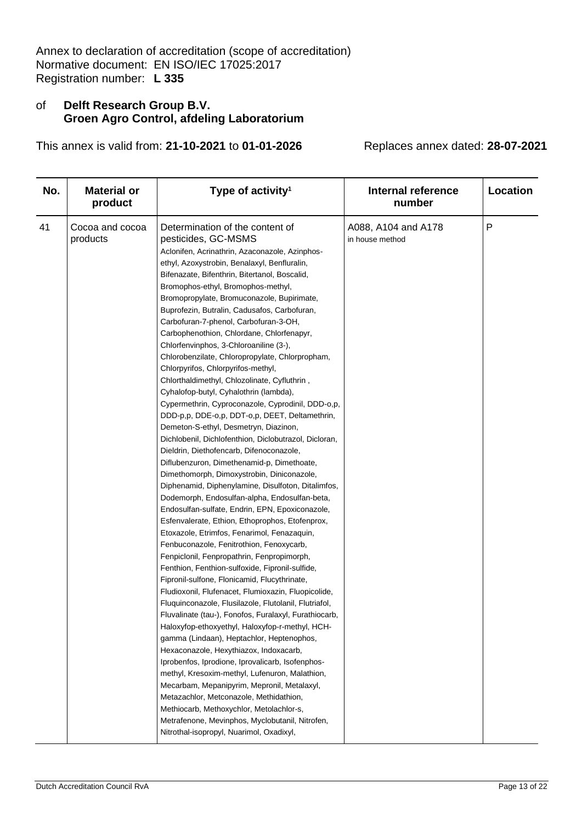# of **Delft Research Group B.V. Groen Agro Control, afdeling Laboratorium**

| No. | <b>Material or</b><br>product | Type of activity <sup>1</sup>                                                                                                                                                                                                                                                                                                                                                                                                                                                                                                                                                                                                                                                                                                                                                                                                                                                                                                                                                                                                                                                                                                                                                                                                                                                                                                                                                                                                                                                                                                                                                                                                                                                                                                                                                                                                                                                                                                                                                                                                                                                                | <b>Internal reference</b><br>number    | Location     |
|-----|-------------------------------|----------------------------------------------------------------------------------------------------------------------------------------------------------------------------------------------------------------------------------------------------------------------------------------------------------------------------------------------------------------------------------------------------------------------------------------------------------------------------------------------------------------------------------------------------------------------------------------------------------------------------------------------------------------------------------------------------------------------------------------------------------------------------------------------------------------------------------------------------------------------------------------------------------------------------------------------------------------------------------------------------------------------------------------------------------------------------------------------------------------------------------------------------------------------------------------------------------------------------------------------------------------------------------------------------------------------------------------------------------------------------------------------------------------------------------------------------------------------------------------------------------------------------------------------------------------------------------------------------------------------------------------------------------------------------------------------------------------------------------------------------------------------------------------------------------------------------------------------------------------------------------------------------------------------------------------------------------------------------------------------------------------------------------------------------------------------------------------------|----------------------------------------|--------------|
| 41  | Cocoa and cocoa<br>products   | Determination of the content of<br>pesticides, GC-MSMS<br>Aclonifen, Acrinathrin, Azaconazole, Azinphos-<br>ethyl, Azoxystrobin, Benalaxyl, Benfluralin,<br>Bifenazate, Bifenthrin, Bitertanol, Boscalid,<br>Bromophos-ethyl, Bromophos-methyl,<br>Bromopropylate, Bromuconazole, Bupirimate,<br>Buprofezin, Butralin, Cadusafos, Carbofuran,<br>Carbofuran-7-phenol, Carbofuran-3-OH,<br>Carbophenothion, Chlordane, Chlorfenapyr,<br>Chlorfenvinphos, 3-Chloroaniline (3-),<br>Chlorobenzilate, Chloropropylate, Chlorpropham,<br>Chlorpyrifos, Chlorpyrifos-methyl,<br>Chlorthaldimethyl, Chlozolinate, Cyfluthrin,<br>Cyhalofop-butyl, Cyhalothrin (lambda),<br>Cypermethrin, Cyproconazole, Cyprodinil, DDD-o,p,<br>DDD-p,p, DDE-o,p, DDT-o,p, DEET, Deltamethrin,<br>Demeton-S-ethyl, Desmetryn, Diazinon,<br>Dichlobenil, Dichlofenthion, Diclobutrazol, Dicloran,<br>Dieldrin, Diethofencarb, Difenoconazole,<br>Diflubenzuron, Dimethenamid-p, Dimethoate,<br>Dimethomorph, Dimoxystrobin, Diniconazole,<br>Diphenamid, Diphenylamine, Disulfoton, Ditalimfos,<br>Dodemorph, Endosulfan-alpha, Endosulfan-beta,<br>Endosulfan-sulfate, Endrin, EPN, Epoxiconazole,<br>Esfenvalerate, Ethion, Ethoprophos, Etofenprox,<br>Etoxazole, Etrimfos, Fenarimol, Fenazaquin,<br>Fenbuconazole, Fenitrothion, Fenoxycarb,<br>Fenpiclonil, Fenpropathrin, Fenpropimorph,<br>Fenthion, Fenthion-sulfoxide, Fipronil-sulfide,<br>Fipronil-sulfone, Flonicamid, Flucythrinate,<br>Fludioxonil, Flufenacet, Flumioxazin, Fluopicolide,<br>Fluquinconazole, Flusilazole, Flutolanil, Flutriafol,<br>Fluvalinate (tau-), Fonofos, Furalaxyl, Furathiocarb,<br>Haloxyfop-ethoxyethyl, Haloxyfop-r-methyl, HCH-<br>gamma (Lindaan), Heptachlor, Heptenophos,<br>Hexaconazole, Hexythiazox, Indoxacarb,<br>Iprobenfos, Iprodione, Iprovalicarb, Isofenphos-<br>methyl, Kresoxim-methyl, Lufenuron, Malathion,<br>Mecarbam, Mepanipyrim, Mepronil, Metalaxyl,<br>Metazachlor, Metconazole, Methidathion,<br>Methiocarb, Methoxychlor, Metolachlor-s,<br>Metrafenone, Mevinphos, Myclobutanil, Nitrofen, | A088, A104 and A178<br>in house method | $\mathsf{P}$ |
|     |                               | Nitrothal-isopropyl, Nuarimol, Oxadixyl,                                                                                                                                                                                                                                                                                                                                                                                                                                                                                                                                                                                                                                                                                                                                                                                                                                                                                                                                                                                                                                                                                                                                                                                                                                                                                                                                                                                                                                                                                                                                                                                                                                                                                                                                                                                                                                                                                                                                                                                                                                                     |                                        |              |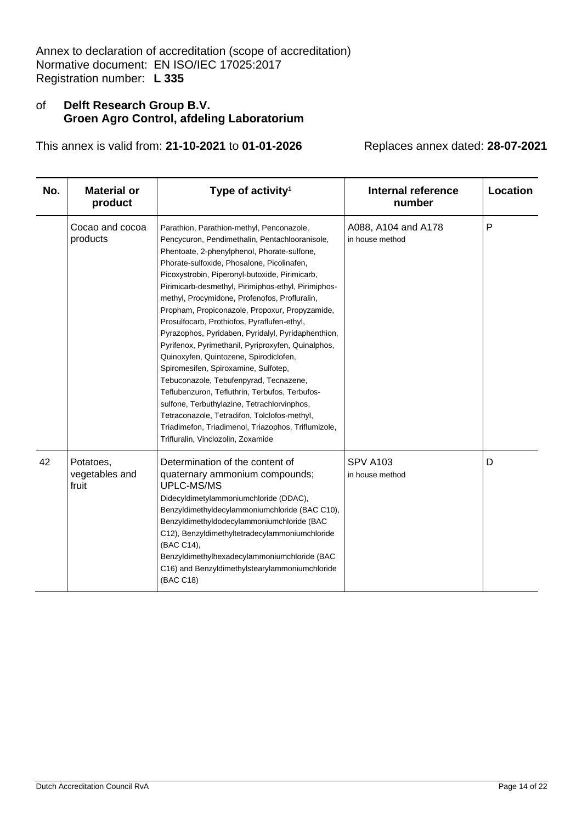# of **Delft Research Group B.V. Groen Agro Control, afdeling Laboratorium**

| No. | <b>Material or</b><br>product        | Type of activity <sup>1</sup>                                                                                                                                                                                                                                                                                                                                                                                                                                                                                                                                                                                                                                                                                                                                                                                                                                                                                                             | <b>Internal reference</b><br>number    | <b>Location</b> |
|-----|--------------------------------------|-------------------------------------------------------------------------------------------------------------------------------------------------------------------------------------------------------------------------------------------------------------------------------------------------------------------------------------------------------------------------------------------------------------------------------------------------------------------------------------------------------------------------------------------------------------------------------------------------------------------------------------------------------------------------------------------------------------------------------------------------------------------------------------------------------------------------------------------------------------------------------------------------------------------------------------------|----------------------------------------|-----------------|
|     | Cocao and cocoa<br>products          | Parathion, Parathion-methyl, Penconazole,<br>Pencycuron, Pendimethalin, Pentachlooranisole,<br>Phentoate, 2-phenylphenol, Phorate-sulfone,<br>Phorate-sulfoxide, Phosalone, Picolinafen,<br>Picoxystrobin, Piperonyl-butoxide, Pirimicarb,<br>Pirimicarb-desmethyl, Pirimiphos-ethyl, Pirimiphos-<br>methyl, Procymidone, Profenofos, Profluralin,<br>Propham, Propiconazole, Propoxur, Propyzamide,<br>Prosulfocarb, Prothiofos, Pyraflufen-ethyl,<br>Pyrazophos, Pyridaben, Pyridalyl, Pyridaphenthion,<br>Pyrifenox, Pyrimethanil, Pyriproxyfen, Quinalphos,<br>Quinoxyfen, Quintozene, Spirodiclofen,<br>Spiromesifen, Spiroxamine, Sulfotep,<br>Tebuconazole, Tebufenpyrad, Tecnazene,<br>Teflubenzuron, Tefluthrin, Terbufos, Terbufos-<br>sulfone, Terbuthylazine, Tetrachlorvinphos,<br>Tetraconazole, Tetradifon, Tolclofos-methyl,<br>Triadimefon, Triadimenol, Triazophos, Triflumizole,<br>Trifluralin, Vinclozolin, Zoxamide | A088, A104 and A178<br>in house method | P               |
| 42  | Potatoes,<br>vegetables and<br>fruit | Determination of the content of<br>quaternary ammonium compounds;<br>UPLC-MS/MS<br>Didecyldimetylammoniumchloride (DDAC),<br>Benzyldimethyldecylammoniumchloride (BAC C10),<br>Benzyldimethyldodecylammoniumchloride (BAC<br>C12), Benzyldimethyltetradecylammoniumchloride<br>(BAC C14),<br>Benzyldimethylhexadecylammoniumchloride (BAC<br>C16) and Benzyldimethylstearylammoniumchloride<br>(BAC C18)                                                                                                                                                                                                                                                                                                                                                                                                                                                                                                                                  | <b>SPV A103</b><br>in house method     | D               |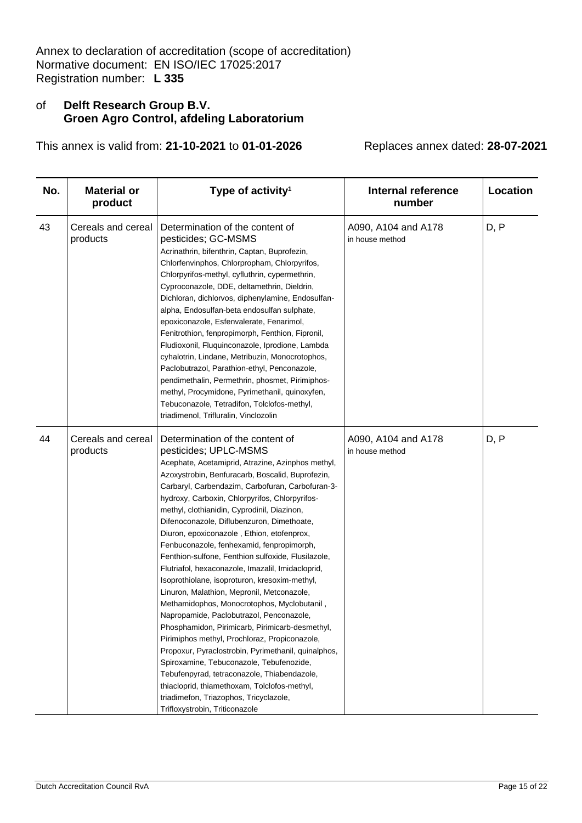# of **Delft Research Group B.V. Groen Agro Control, afdeling Laboratorium**

| No. | <b>Material or</b><br>product  | Type of activity <sup>1</sup>                                                                                                                                                                                                                                                                                                                                                                                                                                                                                                                                                                                                                                                                                                                                                                                                                                                                                                                                                                                                                                                                                                                          | <b>Internal reference</b><br>number    | <b>Location</b> |
|-----|--------------------------------|--------------------------------------------------------------------------------------------------------------------------------------------------------------------------------------------------------------------------------------------------------------------------------------------------------------------------------------------------------------------------------------------------------------------------------------------------------------------------------------------------------------------------------------------------------------------------------------------------------------------------------------------------------------------------------------------------------------------------------------------------------------------------------------------------------------------------------------------------------------------------------------------------------------------------------------------------------------------------------------------------------------------------------------------------------------------------------------------------------------------------------------------------------|----------------------------------------|-----------------|
| 43  | Cereals and cereal<br>products | Determination of the content of<br>pesticides; GC-MSMS<br>Acrinathrin, bifenthrin, Captan, Buprofezin,<br>Chlorfenvinphos, Chlorpropham, Chlorpyrifos,<br>Chlorpyrifos-methyl, cyfluthrin, cypermethrin,<br>Cyproconazole, DDE, deltamethrin, Dieldrin,<br>Dichloran, dichlorvos, diphenylamine, Endosulfan-<br>alpha, Endosulfan-beta endosulfan sulphate,<br>epoxiconazole, Esfenvalerate, Fenarimol,<br>Fenitrothion, fenpropimorph, Fenthion, Fipronil,<br>Fludioxonil, Fluquinconazole, Iprodione, Lambda<br>cyhalotrin, Lindane, Metribuzin, Monocrotophos,<br>Paclobutrazol, Parathion-ethyl, Penconazole,<br>pendimethalin, Permethrin, phosmet, Pirimiphos-<br>methyl, Procymidone, Pyrimethanil, quinoxyfen,<br>Tebuconazole, Tetradifon, Tolclofos-methyl,<br>triadimenol, Trifluralin, Vinclozolin                                                                                                                                                                                                                                                                                                                                         | A090, A104 and A178<br>in house method | D, P            |
| 44  | Cereals and cereal<br>products | Determination of the content of<br>pesticides; UPLC-MSMS<br>Acephate, Acetamiprid, Atrazine, Azinphos methyl,<br>Azoxystrobin, Benfuracarb, Boscalid, Buprofezin,<br>Carbaryl, Carbendazim, Carbofuran, Carbofuran-3-<br>hydroxy, Carboxin, Chlorpyrifos, Chlorpyrifos-<br>methyl, clothianidin, Cyprodinil, Diazinon,<br>Difenoconazole, Diflubenzuron, Dimethoate,<br>Diuron, epoxiconazole, Ethion, etofenprox,<br>Fenbuconazole, fenhexamid, fenpropimorph,<br>Fenthion-sulfone, Fenthion sulfoxide, Flusilazole,<br>Flutriafol, hexaconazole, Imazalil, Imidacloprid,<br>Isoprothiolane, isoproturon, kresoxim-methyl,<br>Linuron, Malathion, Mepronil, Metconazole,<br>Methamidophos, Monocrotophos, Myclobutanil,<br>Napropamide, Paclobutrazol, Penconazole,<br>Phosphamidon, Pirimicarb, Pirimicarb-desmethyl,<br>Pirimiphos methyl, Prochloraz, Propiconazole,<br>Propoxur, Pyraclostrobin, Pyrimethanil, quinalphos,<br>Spiroxamine, Tebuconazole, Tebufenozide,<br>Tebufenpyrad, tetraconazole, Thiabendazole,<br>thiacloprid, thiamethoxam, Tolclofos-methyl,<br>triadimefon, Triazophos, Tricyclazole,<br>Trifloxystrobin, Triticonazole | A090, A104 and A178<br>in house method | D, P            |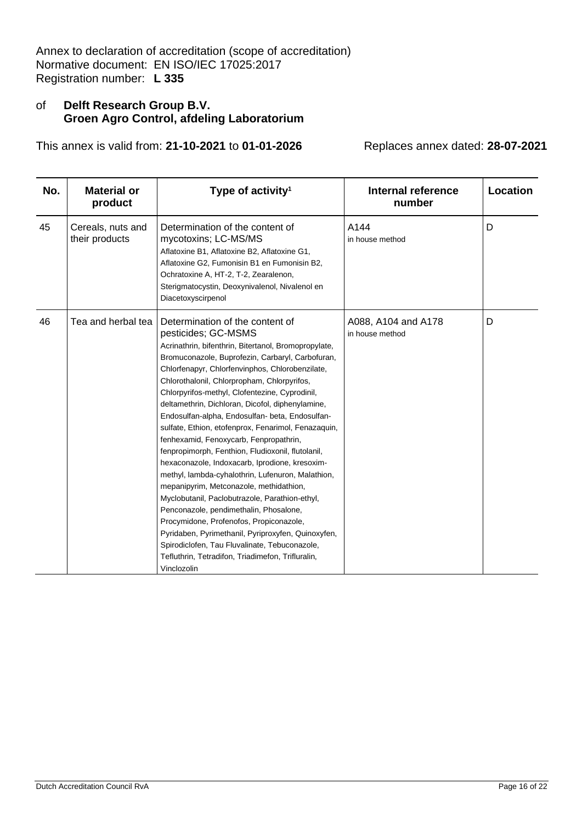# of **Delft Research Group B.V. Groen Agro Control, afdeling Laboratorium**

| No. | <b>Material or</b><br>product       | Type of activity <sup>1</sup>                                                                                                                                                                                                                                                                                                                                                                                                                                                                                                                                                                                                                                                                                                                                                                                                                                                                                                                                                                                                                           | Internal reference<br>number           | <b>Location</b> |
|-----|-------------------------------------|---------------------------------------------------------------------------------------------------------------------------------------------------------------------------------------------------------------------------------------------------------------------------------------------------------------------------------------------------------------------------------------------------------------------------------------------------------------------------------------------------------------------------------------------------------------------------------------------------------------------------------------------------------------------------------------------------------------------------------------------------------------------------------------------------------------------------------------------------------------------------------------------------------------------------------------------------------------------------------------------------------------------------------------------------------|----------------------------------------|-----------------|
| 45  | Cereals, nuts and<br>their products | Determination of the content of<br>mycotoxins; LC-MS/MS<br>Aflatoxine B1, Aflatoxine B2, Aflatoxine G1,<br>Aflatoxine G2, Fumonisin B1 en Fumonisin B2,<br>Ochratoxine A, HT-2, T-2, Zearalenon,<br>Sterigmatocystin, Deoxynivalenol, Nivalenol en<br>Diacetoxyscirpenol                                                                                                                                                                                                                                                                                                                                                                                                                                                                                                                                                                                                                                                                                                                                                                                | A144<br>in house method                | D               |
| 46  | Tea and herbal tea                  | Determination of the content of<br>pesticides; GC-MSMS<br>Acrinathrin, bifenthrin, Bitertanol, Bromopropylate,<br>Bromuconazole, Buprofezin, Carbaryl, Carbofuran,<br>Chlorfenapyr, Chlorfenvinphos, Chlorobenzilate,<br>Chlorothalonil, Chlorpropham, Chlorpyrifos,<br>Chlorpyrifos-methyl, Clofentezine, Cyprodinil,<br>deltamethrin, Dichloran, Dicofol, diphenylamine,<br>Endosulfan-alpha, Endosulfan- beta, Endosulfan-<br>sulfate, Ethion, etofenprox, Fenarimol, Fenazaquin,<br>fenhexamid, Fenoxycarb, Fenpropathrin,<br>fenpropimorph, Fenthion, Fludioxonil, flutolanil,<br>hexaconazole, Indoxacarb, Iprodione, kresoxim-<br>methyl, lambda-cyhalothrin, Lufenuron, Malathion,<br>mepanipyrim, Metconazole, methidathion,<br>Myclobutanil, Paclobutrazole, Parathion-ethyl,<br>Penconazole, pendimethalin, Phosalone,<br>Procymidone, Profenofos, Propiconazole,<br>Pyridaben, Pyrimethanil, Pyriproxyfen, Quinoxyfen,<br>Spirodiclofen, Tau Fluvalinate, Tebuconazole,<br>Tefluthrin, Tetradifon, Triadimefon, Trifluralin,<br>Vinclozolin | A088, A104 and A178<br>in house method | D               |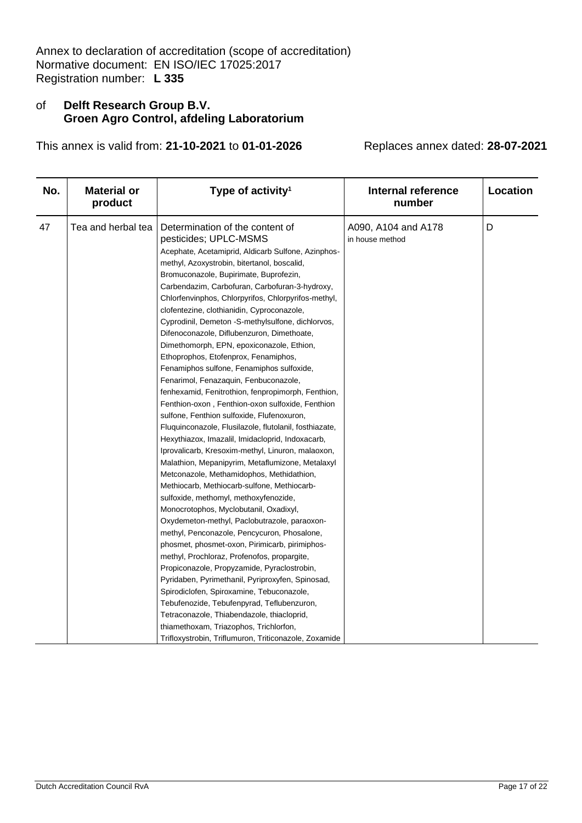# of **Delft Research Group B.V. Groen Agro Control, afdeling Laboratorium**

| No. | <b>Material or</b><br>product | Type of activity <sup>1</sup>                                                                                                                                                                                                                                                                                                                                                                                                                                                                                                                                                                                                                                                                                                                                                                                                                                                                                                                                                                                                                                                                                                                                                                                                                                                                                                                                                                                                                                                                                                                                                                                                                                                                                                                             | Internal reference<br>number           | Location |
|-----|-------------------------------|-----------------------------------------------------------------------------------------------------------------------------------------------------------------------------------------------------------------------------------------------------------------------------------------------------------------------------------------------------------------------------------------------------------------------------------------------------------------------------------------------------------------------------------------------------------------------------------------------------------------------------------------------------------------------------------------------------------------------------------------------------------------------------------------------------------------------------------------------------------------------------------------------------------------------------------------------------------------------------------------------------------------------------------------------------------------------------------------------------------------------------------------------------------------------------------------------------------------------------------------------------------------------------------------------------------------------------------------------------------------------------------------------------------------------------------------------------------------------------------------------------------------------------------------------------------------------------------------------------------------------------------------------------------------------------------------------------------------------------------------------------------|----------------------------------------|----------|
| 47  | Tea and herbal tea            | Determination of the content of<br>pesticides; UPLC-MSMS<br>Acephate, Acetamiprid, Aldicarb Sulfone, Azinphos-<br>methyl, Azoxystrobin, bitertanol, boscalid,<br>Bromuconazole, Bupirimate, Buprofezin,<br>Carbendazim, Carbofuran, Carbofuran-3-hydroxy,<br>Chlorfenvinphos, Chlorpyrifos, Chlorpyrifos-methyl,<br>clofentezine, clothianidin, Cyproconazole,<br>Cyprodinil, Demeton -S-methylsulfone, dichlorvos,<br>Difenoconazole, Diflubenzuron, Dimethoate,<br>Dimethomorph, EPN, epoxiconazole, Ethion,<br>Ethoprophos, Etofenprox, Fenamiphos,<br>Fenamiphos sulfone, Fenamiphos sulfoxide,<br>Fenarimol, Fenazaquin, Fenbuconazole,<br>fenhexamid, Fenitrothion, fenpropimorph, Fenthion,<br>Fenthion-oxon, Fenthion-oxon sulfoxide, Fenthion<br>sulfone, Fenthion sulfoxide, Flufenoxuron,<br>Fluquinconazole, Flusilazole, flutolanil, fosthiazate,<br>Hexythiazox, Imazalil, Imidacloprid, Indoxacarb,<br>Iprovalicarb, Kresoxim-methyl, Linuron, malaoxon,<br>Malathion, Mepanipyrim, Metaflumizone, Metalaxyl<br>Metconazole, Methamidophos, Methidathion,<br>Methiocarb, Methiocarb-sulfone, Methiocarb-<br>sulfoxide, methomyl, methoxyfenozide,<br>Monocrotophos, Myclobutanil, Oxadixyl,<br>Oxydemeton-methyl, Paclobutrazole, paraoxon-<br>methyl, Penconazole, Pencycuron, Phosalone,<br>phosmet, phosmet-oxon, Pirimicarb, pirimiphos-<br>methyl, Prochloraz, Profenofos, propargite,<br>Propiconazole, Propyzamide, Pyraclostrobin,<br>Pyridaben, Pyrimethanil, Pyriproxyfen, Spinosad,<br>Spirodiclofen, Spiroxamine, Tebuconazole,<br>Tebufenozide, Tebufenpyrad, Teflubenzuron,<br>Tetraconazole, Thiabendazole, thiacloprid,<br>thiamethoxam, Triazophos, Trichlorfon,<br>Trifloxystrobin, Triflumuron, Triticonazole, Zoxamide | A090, A104 and A178<br>in house method | D        |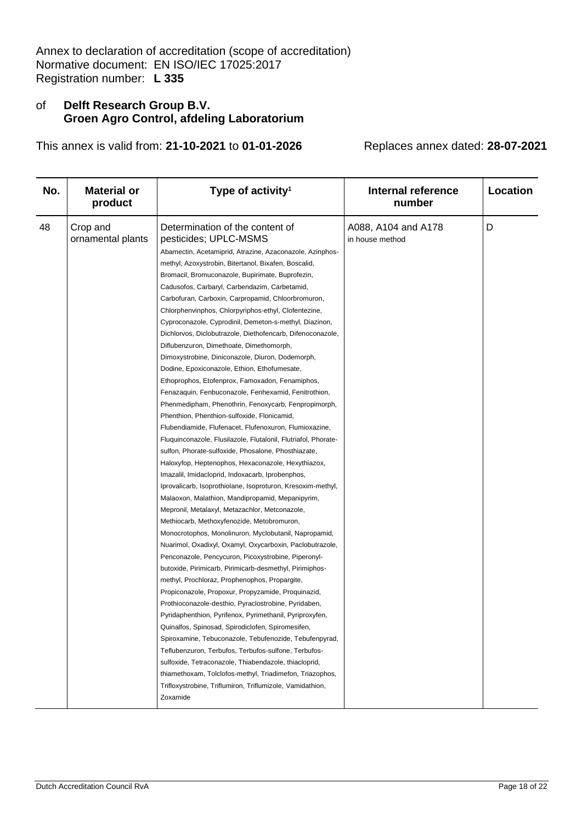# of **Delft Research Group B.V. Groen Agro Control, afdeling Laboratorium**

| No. | <b>Material or</b><br>product | Type of activity <sup>1</sup>                                                                                                                                                                                                                                                                                                                                                                                                                                                                                                                                                                                                                                                                                                                                                                                                                                                                                                                                                                                                                                                                                                                                                                                                                                                                                                                                                                                                                                                                                                                                                                                                                                                                                                                                                                                                                                                                                                                                                                                                                                                                                                                                                                                                                   | <b>Internal reference</b><br>number    | <b>Location</b> |
|-----|-------------------------------|-------------------------------------------------------------------------------------------------------------------------------------------------------------------------------------------------------------------------------------------------------------------------------------------------------------------------------------------------------------------------------------------------------------------------------------------------------------------------------------------------------------------------------------------------------------------------------------------------------------------------------------------------------------------------------------------------------------------------------------------------------------------------------------------------------------------------------------------------------------------------------------------------------------------------------------------------------------------------------------------------------------------------------------------------------------------------------------------------------------------------------------------------------------------------------------------------------------------------------------------------------------------------------------------------------------------------------------------------------------------------------------------------------------------------------------------------------------------------------------------------------------------------------------------------------------------------------------------------------------------------------------------------------------------------------------------------------------------------------------------------------------------------------------------------------------------------------------------------------------------------------------------------------------------------------------------------------------------------------------------------------------------------------------------------------------------------------------------------------------------------------------------------------------------------------------------------------------------------------------------------|----------------------------------------|-----------------|
| 48  | Crop and<br>ornamental plants | Determination of the content of<br>pesticides; UPLC-MSMS<br>Abamectin, Acetamiprid, Atrazine, Azaconazole, Azinphos-<br>methyl, Azoxystrobin, Bitertanol, Bixafen, Boscalid,<br>Bromacil, Bromuconazole, Bupirimate, Buprofezin,<br>Cadusofos, Carbaryl, Carbendazim, Carbetamid,<br>Carbofuran, Carboxin, Carpropamid, Chloorbromuron,<br>Chlorphenvinphos, Chlorpyriphos-ethyl, Clofentezine,<br>Cyproconazole, Cyprodinil, Demeton-s-methyl, Diazinon,<br>Dichlorvos, Diclobutrazole, Diethofencarb, Difenoconazole,<br>Diflubenzuron, Dimethoate, Dimethomorph,<br>Dimoxystrobine, Diniconazole, Diuron, Dodemorph,<br>Dodine, Epoxiconazole, Ethion, Ethofumesate,<br>Ethoprophos, Etofenprox, Famoxadon, Fenamiphos,<br>Fenazaquin, Fenbuconazole, Fenhexamid, Fenitrothion,<br>Phenmedipham, Phenothrin, Fenoxycarb, Fenpropimorph,<br>Phenthion, Phenthion-sulfoxide, Flonicamid,<br>Flubendiamide, Flufenacet, Flufenoxuron, Flumioxazine,<br>Fluquinconazole, Flusilazole, Flutalonil, Flutriafol, Phorate-<br>sulfon, Phorate-sulfoxide, Phosalone, Phosthiazate,<br>Haloxyfop, Heptenophos, Hexaconazole, Hexythiazox,<br>Imazalil, Imidacloprid, Indoxacarb, Iprobenphos,<br>Iprovalicarb, Isoprothiolane, Isoproturon, Kresoxim-methyl,<br>Malaoxon, Malathion, Mandipropamid, Mepanipyrim,<br>Mepronil, Metalaxyl, Metazachlor, Metconazole,<br>Methiocarb, Methoxyfenozide, Metobromuron,<br>Monocrotophos, Monolinuron, Myclobutanil, Napropamid,<br>Nuarimol, Oxadixyl, Oxamyl, Oxycarboxin, Paclobutrazole,<br>Penconazole, Pencycuron, Picoxystrobine, Piperonyl-<br>butoxide, Pirimicarb, Pirimicarb-desmethyl, Pirimiphos-<br>methyl, Prochloraz, Prophenophos, Propargite,<br>Propiconazole, Propoxur, Propyzamide, Proquinazid,<br>Prothioconazole-desthio, Pyraclostrobine, Pyridaben,<br>Pyridaphenthion, Pyrifenox, Pyrimethanil, Pyriproxyfen,<br>Quinalfos, Spinosad, Spirodiclofen, Spiromesifen,<br>Spiroxamine, Tebuconazole, Tebufenozide, Tebufenpyrad,<br>Teflubenzuron, Terbufos, Terbufos-sulfone, Terbufos-<br>sulfoxide, Tetraconazole, Thiabendazole, thiacloprid,<br>thiamethoxam, Tolclofos-methyl, Triadimefon, Triazophos,<br>Trifloxystrobine, Triflumiron, Triflumizole, Vamidathion,<br>Zoxamide | A088, A104 and A178<br>in house method | D               |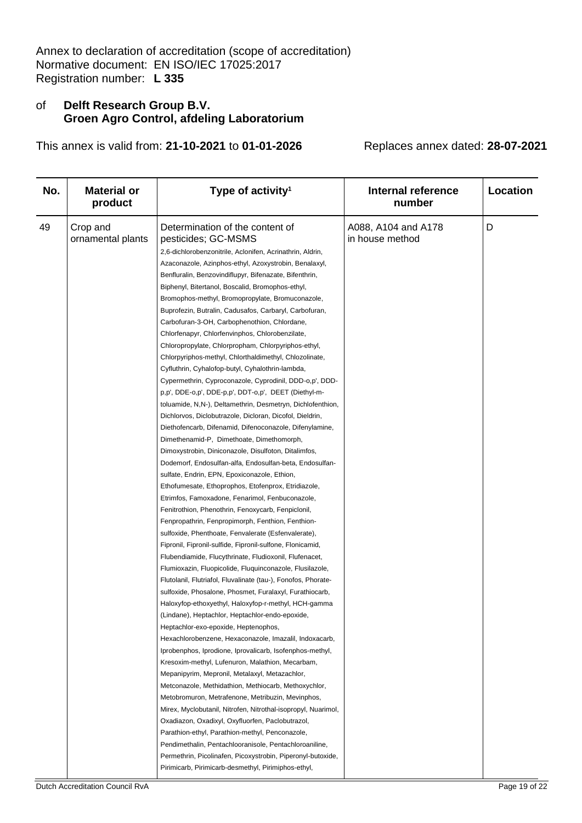# of **Delft Research Group B.V. Groen Agro Control, afdeling Laboratorium**

| <b>Material or</b><br>Type of activity <sup>1</sup><br>No.<br>product                                                                                                                                                                                                                                                                                                                                                                                                                                                                                                                                                                                                                                                                                                                                                                                                                                                                                                                                                                                                                                                                                                                                                                                                                                                                                                                                                                                                                                                                                                                                                                                                                                                                                                                                                                                                                                                                                                                                                                                                                                                                                                                                                                                                                                                                                                                                                                                                                                                                                                                                                                                                                          | <b>Internal reference</b><br>number    | Location |
|------------------------------------------------------------------------------------------------------------------------------------------------------------------------------------------------------------------------------------------------------------------------------------------------------------------------------------------------------------------------------------------------------------------------------------------------------------------------------------------------------------------------------------------------------------------------------------------------------------------------------------------------------------------------------------------------------------------------------------------------------------------------------------------------------------------------------------------------------------------------------------------------------------------------------------------------------------------------------------------------------------------------------------------------------------------------------------------------------------------------------------------------------------------------------------------------------------------------------------------------------------------------------------------------------------------------------------------------------------------------------------------------------------------------------------------------------------------------------------------------------------------------------------------------------------------------------------------------------------------------------------------------------------------------------------------------------------------------------------------------------------------------------------------------------------------------------------------------------------------------------------------------------------------------------------------------------------------------------------------------------------------------------------------------------------------------------------------------------------------------------------------------------------------------------------------------------------------------------------------------------------------------------------------------------------------------------------------------------------------------------------------------------------------------------------------------------------------------------------------------------------------------------------------------------------------------------------------------------------------------------------------------------------------------------------------------|----------------------------------------|----------|
| 49<br>Crop and<br>Determination of the content of<br>pesticides; GC-MSMS<br>ornamental plants<br>2,6-dichlorobenzonitrile, Aclonifen, Acrinathrin, Aldrin,<br>Azaconazole, Azinphos-ethyl, Azoxystrobin, Benalaxyl,<br>Benfluralin, Benzovindiflupyr, Bifenazate, Bifenthrin,<br>Biphenyl, Bitertanol, Boscalid, Bromophos-ethyl,<br>Bromophos-methyl, Bromopropylate, Bromuconazole,<br>Buprofezin, Butralin, Cadusafos, Carbaryl, Carbofuran,<br>Carbofuran-3-OH, Carbophenothion, Chlordane,<br>Chlorfenapyr, Chlorfenvinphos, Chlorobenzilate,<br>Chloropropylate, Chlorpropham, Chlorpyriphos-ethyl,<br>Chlorpyriphos-methyl, Chlorthaldimethyl, Chlozolinate,<br>Cyfluthrin, Cyhalofop-butyl, Cyhalothrin-lambda,<br>Cypermethrin, Cyproconazole, Cyprodinil, DDD-o,p', DDD-<br>p,p', DDE-o,p', DDE-p,p', DDT-o,p', DEET (Diethyl-m-<br>toluamide, N,N-), Deltamethrin, Desmetryn, Dichlofenthion,<br>Dichlorvos, Diclobutrazole, Dicloran, Dicofol, Dieldrin,<br>Diethofencarb, Difenamid, Difenoconazole, Difenylamine,<br>Dimethenamid-P, Dimethoate, Dimethomorph,<br>Dimoxystrobin, Diniconazole, Disulfoton, Ditalimfos,<br>Dodemorf, Endosulfan-alfa, Endosulfan-beta, Endosulfan-<br>sulfate, Endrin, EPN, Epoxiconazole, Ethion,<br>Ethofumesate, Ethoprophos, Etofenprox, Etridiazole,<br>Etrimfos, Famoxadone, Fenarimol, Fenbuconazole,<br>Fenitrothion, Phenothrin, Fenoxycarb, Fenpiclonil,<br>Fenpropathrin, Fenpropimorph, Fenthion, Fenthion-<br>sulfoxide, Phenthoate, Fenvalerate (Esfenvalerate),<br>Fipronil, Fipronil-sulfide, Fipronil-sulfone, Flonicamid,<br>Flubendiamide, Flucythrinate, Fludioxonil, Flufenacet,<br>Flumioxazin, Fluopicolide, Fluquinconazole, Flusilazole,<br>Flutolanil, Flutriafol, Fluvalinate (tau-), Fonofos, Phorate-<br>sulfoxide, Phosalone, Phosmet, Furalaxyl, Furathiocarb,<br>Haloxyfop-ethoxyethyl, Haloxyfop-r-methyl, HCH-gamma<br>(Lindane), Heptachlor, Heptachlor-endo-epoxide,<br>Heptachlor-exo-epoxide, Heptenophos,<br>Hexachlorobenzene, Hexaconazole, Imazalil, Indoxacarb,<br>Iprobenphos, Iprodione, Iprovalicarb, Isofenphos-methyl,<br>Kresoxim-methyl, Lufenuron, Malathion, Mecarbam,<br>Mepanipyrim, Mepronil, Metalaxyl, Metazachlor,<br>Metconazole, Methidathion, Methiocarb, Methoxychlor,<br>Metobromuron, Metrafenone, Metribuzin, Mevinphos,<br>Mirex, Myclobutanil, Nitrofen, Nitrothal-isopropyl, Nuarimol,<br>Oxadiazon, Oxadixyl, Oxyfluorfen, Paclobutrazol,<br>Parathion-ethyl, Parathion-methyl, Penconazole,<br>Pendimethalin, Pentachlooranisole, Pentachloroaniline,<br>Permethrin, Picolinafen, Picoxystrobin, Piperonyl-butoxide,<br>Pirimicarb, Pirimicarb-desmethyl, Pirimiphos-ethyl, | A088, A104 and A178<br>in house method | D        |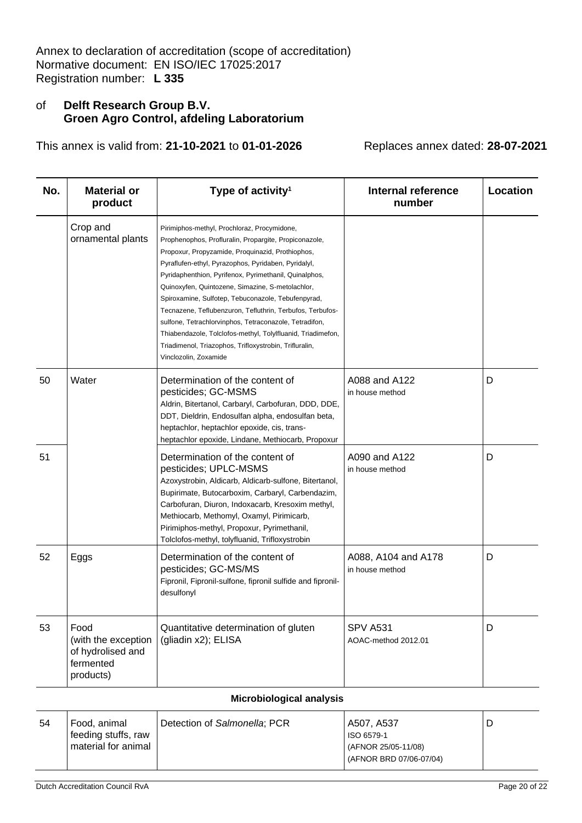# of **Delft Research Group B.V. Groen Agro Control, afdeling Laboratorium**

This annex is valid from: **21-10-2021** to **01-01-2026** Replaces annex dated: **28-07-2021**

| No. | <b>Material or</b><br>product                                              | Type of activity <sup>1</sup>                                                                                                                                                                                                                                                                                                                                                                                                                                                                                                                                                                                                                               | Internal reference<br>number           | <b>Location</b> |
|-----|----------------------------------------------------------------------------|-------------------------------------------------------------------------------------------------------------------------------------------------------------------------------------------------------------------------------------------------------------------------------------------------------------------------------------------------------------------------------------------------------------------------------------------------------------------------------------------------------------------------------------------------------------------------------------------------------------------------------------------------------------|----------------------------------------|-----------------|
|     | Crop and<br>ornamental plants                                              | Pirimiphos-methyl, Prochloraz, Procymidone,<br>Prophenophos, Profluralin, Propargite, Propiconazole,<br>Propoxur, Propyzamide, Proquinazid, Prothiophos,<br>Pyraflufen-ethyl, Pyrazophos, Pyridaben, Pyridalyl,<br>Pyridaphenthion, Pyrifenox, Pyrimethanil, Quinalphos,<br>Quinoxyfen, Quintozene, Simazine, S-metolachlor,<br>Spiroxamine, Sulfotep, Tebuconazole, Tebufenpyrad,<br>Tecnazene, Teflubenzuron, Tefluthrin, Terbufos, Terbufos-<br>sulfone, Tetrachlorvinphos, Tetraconazole, Tetradifon,<br>Thiabendazole, Tolclofos-methyl, Tolylfluanid, Triadimefon,<br>Triadimenol, Triazophos, Trifloxystrobin, Trifluralin,<br>Vinclozolin, Zoxamide |                                        |                 |
| 50  | Water                                                                      | Determination of the content of<br>pesticides; GC-MSMS<br>Aldrin, Bitertanol, Carbaryl, Carbofuran, DDD, DDE,<br>DDT, Dieldrin, Endosulfan alpha, endosulfan beta,<br>heptachlor, heptachlor epoxide, cis, trans-<br>heptachlor epoxide, Lindane, Methiocarb, Propoxur                                                                                                                                                                                                                                                                                                                                                                                      | A088 and A122<br>in house method       | D               |
| 51  |                                                                            | Determination of the content of<br>pesticides; UPLC-MSMS<br>Azoxystrobin, Aldicarb, Aldicarb-sulfone, Bitertanol,<br>Bupirimate, Butocarboxim, Carbaryl, Carbendazim,<br>Carbofuran, Diuron, Indoxacarb, Kresoxim methyl,<br>Methiocarb, Methomyl, Oxamyl, Pirimicarb,<br>Pirimiphos-methyl, Propoxur, Pyrimethanil,<br>Tolclofos-methyl, tolyfluanid, Trifloxystrobin                                                                                                                                                                                                                                                                                      | A090 and A122<br>in house method       | D               |
| 52  | Eggs                                                                       | Determination of the content of<br>pesticides; GC-MS/MS<br>Fipronil, Fipronil-sulfone, fipronil sulfide and fipronil-<br>desulfonyl                                                                                                                                                                                                                                                                                                                                                                                                                                                                                                                         | A088, A104 and A178<br>in house method | D               |
| 53  | Food<br>(with the exception<br>of hydrolised and<br>fermented<br>products) | Quantitative determination of gluten<br>(gliadin x2); ELISA                                                                                                                                                                                                                                                                                                                                                                                                                                                                                                                                                                                                 | <b>SPV A531</b><br>AOAC-method 2012.01 | D               |

#### **Microbiological analysis**

| -54 | Food, animal<br>feeding stuffs, raw<br>material for animal | Detection of Salmonella; PCR | A507, A537<br>ISO 6579-1<br>(AFNOR 25/05-11/08)<br>(AFNOR BRD 07/06-07/04) |  |
|-----|------------------------------------------------------------|------------------------------|----------------------------------------------------------------------------|--|
|     |                                                            |                              |                                                                            |  |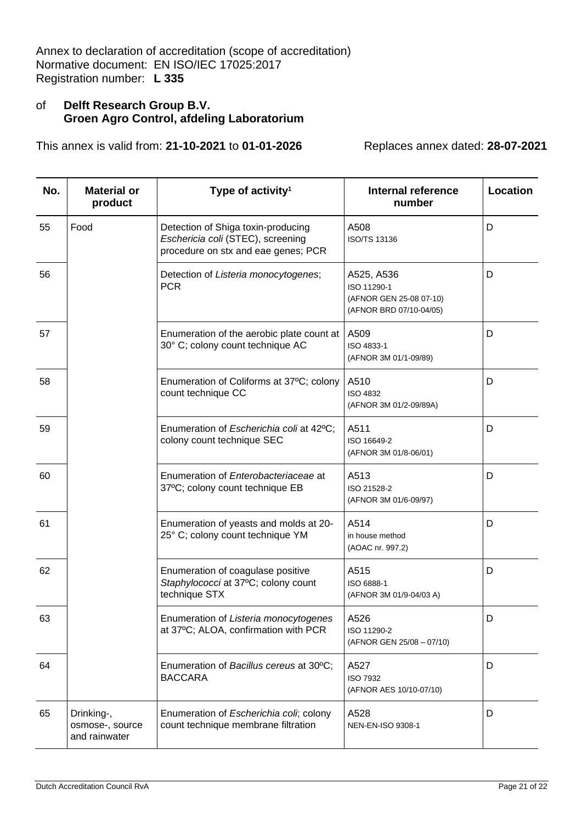#### of **Delft Research Group B.V. Groen Agro Control, afdeling Laboratorium**

| No. | <b>Material or</b><br>product                  | Type of activity <sup>1</sup>                                                                                  | <b>Internal reference</b><br>number                                             | Location |
|-----|------------------------------------------------|----------------------------------------------------------------------------------------------------------------|---------------------------------------------------------------------------------|----------|
| 55  | Food                                           | Detection of Shiga toxin-producing<br>Eschericia coli (STEC), screening<br>procedure on stx and eae genes; PCR | A508<br><b>ISO/TS 13136</b>                                                     | D        |
| 56  |                                                | Detection of Listeria monocytogenes;<br><b>PCR</b>                                                             | A525, A536<br>ISO 11290-1<br>(AFNOR GEN 25-08 07-10)<br>(AFNOR BRD 07/10-04/05) | D        |
| 57  |                                                | Enumeration of the aerobic plate count at   A509<br>30° C; colony count technique AC                           | ISO 4833-1<br>(AFNOR 3M 01/1-09/89)                                             | D        |
| 58  |                                                | Enumeration of Coliforms at 37°C; colony<br>count technique CC                                                 | A510<br><b>ISO 4832</b><br>(AFNOR 3M 01/2-09/89A)                               | D        |
| 59  |                                                | Enumeration of Escherichia coli at 42°C;<br>colony count technique SEC                                         | A511<br>ISO 16649-2<br>(AFNOR 3M 01/8-06/01)                                    | D        |
| 60  |                                                | Enumeration of Enterobacteriaceae at<br>37°C; colony count technique EB                                        | A513<br>ISO 21528-2<br>(AFNOR 3M 01/6-09/97)                                    | D        |
| 61  |                                                | Enumeration of yeasts and molds at 20-<br>25° C; colony count technique YM                                     | A514<br>in house method<br>(AOAC nr. 997.2)                                     | D        |
| 62  |                                                | Enumeration of coagulase positive<br>Staphylococci at 37°C; colony count<br>technique STX                      | A515<br>ISO 6888-1<br>(AFNOR 3M 01/9-04/03 A)                                   | D        |
| 63  |                                                | Enumeration of Listeria monocytogenes<br>at 37°C; ALOA, confirmation with PCR                                  | A526<br>ISO 11290-2<br>(AFNOR GEN 25/08 - 07/10)                                | D        |
| 64  |                                                | Enumeration of Bacillus cereus at 30°C;<br><b>BACCARA</b>                                                      | A527<br><b>ISO 7932</b><br>(AFNOR AES 10/10-07/10)                              | D        |
| 65  | Drinking-,<br>osmose-, source<br>and rainwater | Enumeration of Escherichia coli; colony<br>count technique membrane filtration                                 | A528<br>NEN-EN-ISO 9308-1                                                       | D        |